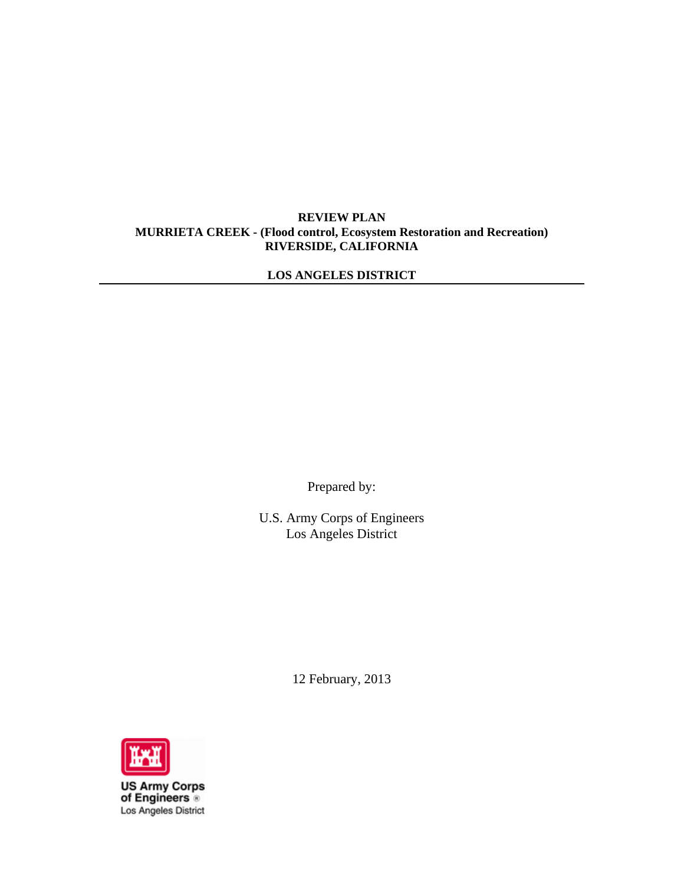#### **REVIEW PLAN MURRIETA CREEK - (Flood control, Ecosystem Restoration and Recreation) RIVERSIDE, CALIFORNIA**

**LOS ANGELES DISTRICT** 

Prepared by:

U.S. Army Corps of Engineers Los Angeles District

12 February, 2013

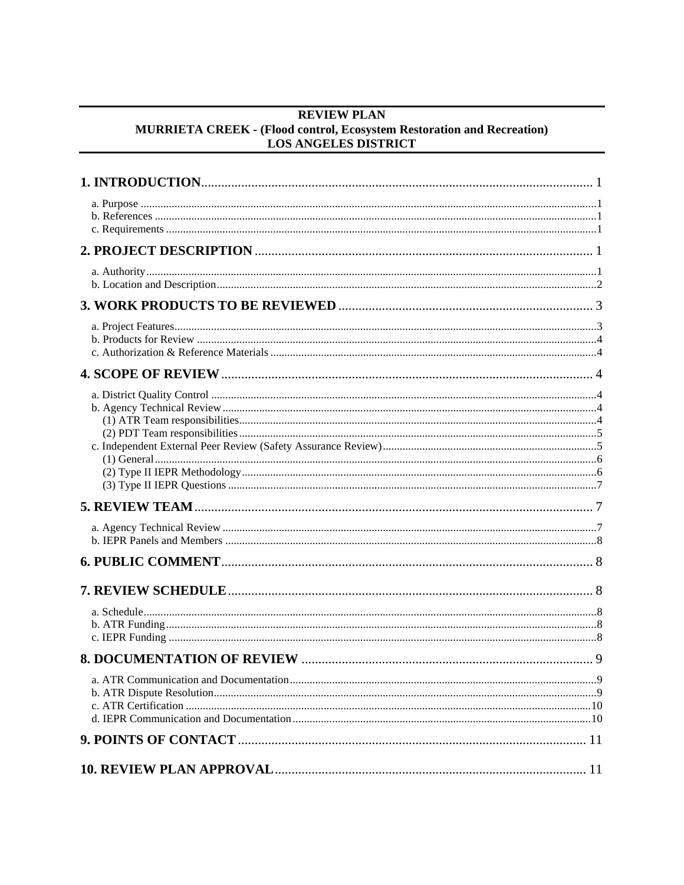# **REVIEW PLAN MURRIETA CREEK - (Flood control, Ecosystem Restoration and Recreation)**<br>LOS ANGELES DISTRICT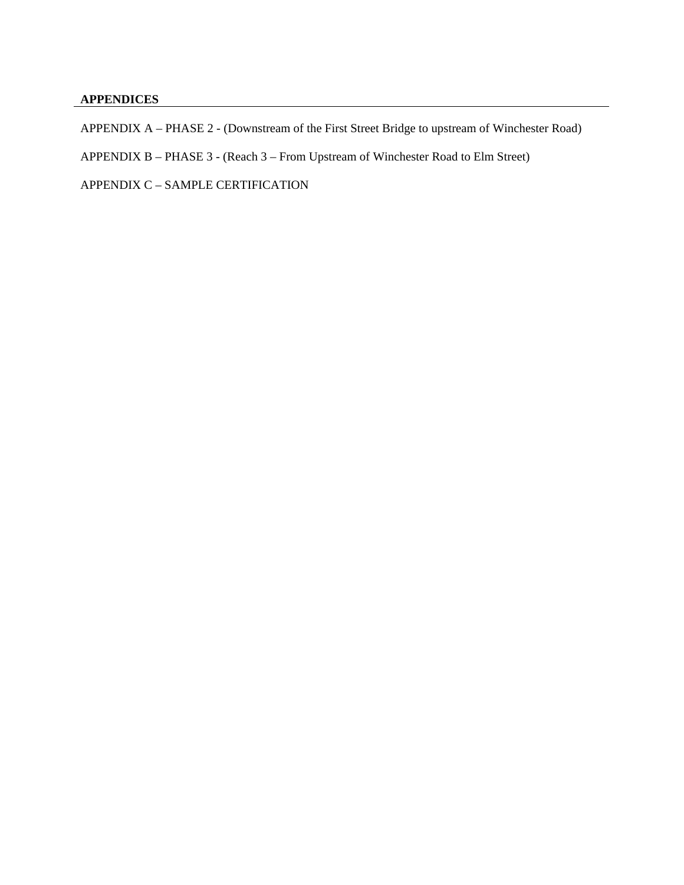APPENDIX A – PHASE 2 - (Downstream of the First Street Bridge to upstream of Winchester Road)

APPENDIX B – PHASE 3 - (Reach 3 – From Upstream of Winchester Road to Elm Street)

APPENDIX C – SAMPLE CERTIFICATION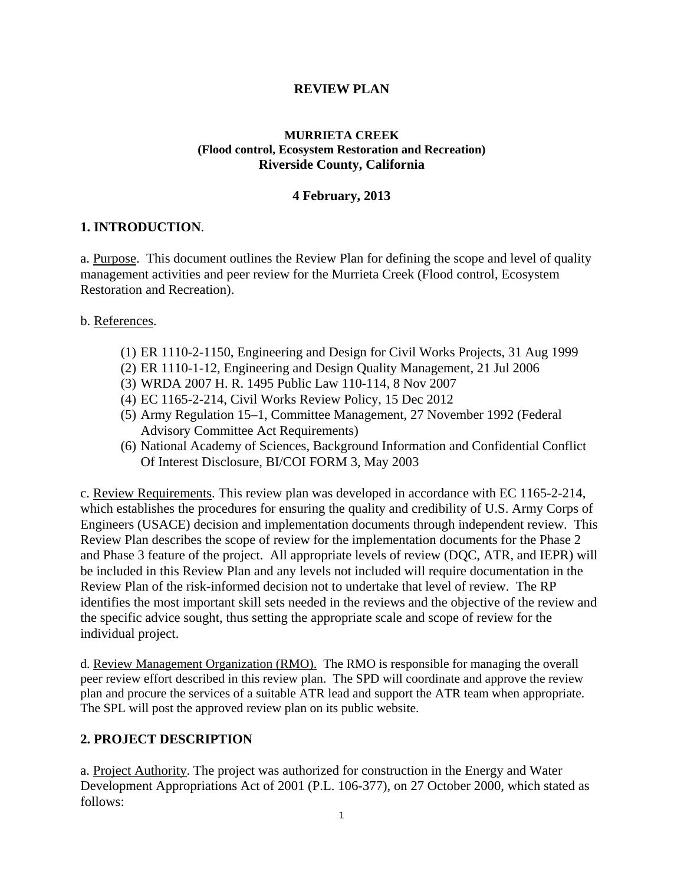#### **REVIEW PLAN**

#### **MURRIETA CREEK (Flood control, Ecosystem Restoration and Recreation) Riverside County, California**

#### **4 February, 2013**

## **1. INTRODUCTION**.

a. Purpose. This document outlines the Review Plan for defining the scope and level of quality management activities and peer review for the Murrieta Creek (Flood control, Ecosystem Restoration and Recreation).

#### b. References.

- (1) ER 1110-2-1150, Engineering and Design for Civil Works Projects, 31 Aug 1999
- (2) ER 1110-1-12, Engineering and Design Quality Management, 21 Jul 2006
- (3) WRDA 2007 H. R. 1495 Public Law 110-114, 8 Nov 2007
- (4) EC 1165-2-214, Civil Works Review Policy, 15 Dec 2012
- (5) Army Regulation 15–1, Committee Management, 27 November 1992 (Federal Advisory Committee Act Requirements)
- (6) National Academy of Sciences, Background Information and Confidential Conflict Of Interest Disclosure, BI/COI FORM 3, May 2003

c. Review Requirements. This review plan was developed in accordance with EC 1165-2-214, which establishes the procedures for ensuring the quality and credibility of U.S. Army Corps of Engineers (USACE) decision and implementation documents through independent review. This Review Plan describes the scope of review for the implementation documents for the Phase 2 and Phase 3 feature of the project. All appropriate levels of review (DQC, ATR, and IEPR) will be included in this Review Plan and any levels not included will require documentation in the Review Plan of the risk-informed decision not to undertake that level of review. The RP identifies the most important skill sets needed in the reviews and the objective of the review and the specific advice sought, thus setting the appropriate scale and scope of review for the individual project.

d. Review Management Organization (RMO). The RMO is responsible for managing the overall peer review effort described in this review plan. The SPD will coordinate and approve the review plan and procure the services of a suitable ATR lead and support the ATR team when appropriate. The SPL will post the approved review plan on its public website.

## **2. PROJECT DESCRIPTION**

a. Project Authority. The project was authorized for construction in the Energy and Water Development Appropriations Act of 2001 (P.L. 106-377), on 27 October 2000, which stated as follows: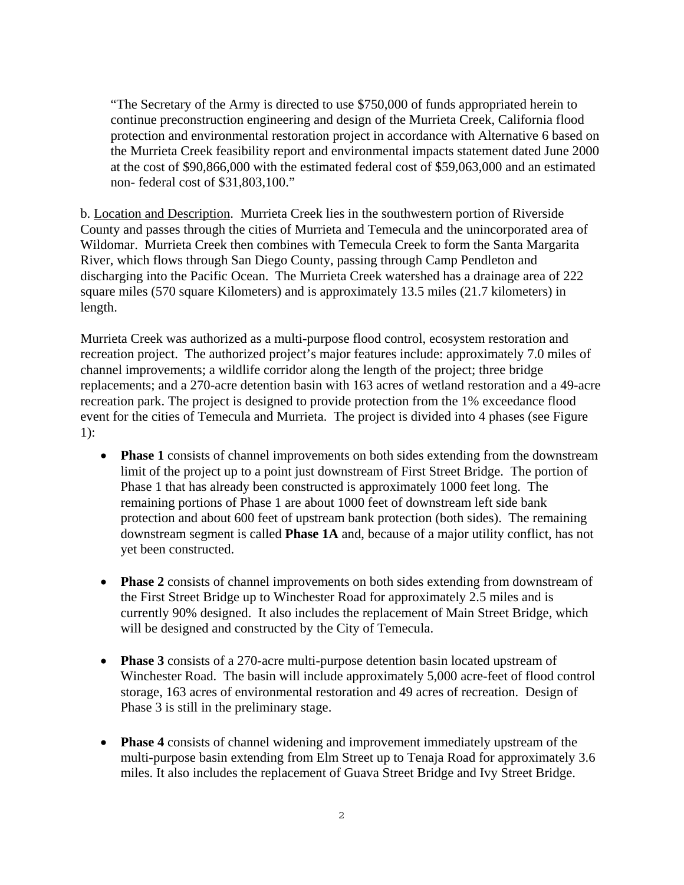"The Secretary of the Army is directed to use \$750,000 of funds appropriated herein to continue preconstruction engineering and design of the Murrieta Creek, California flood protection and environmental restoration project in accordance with Alternative 6 based on the Murrieta Creek feasibility report and environmental impacts statement dated June 2000 at the cost of \$90,866,000 with the estimated federal cost of \$59,063,000 and an estimated non- federal cost of \$31,803,100."

b. Location and Description. Murrieta Creek lies in the southwestern portion of Riverside County and passes through the cities of Murrieta and Temecula and the unincorporated area of Wildomar. Murrieta Creek then combines with Temecula Creek to form the Santa Margarita River, which flows through San Diego County, passing through Camp Pendleton and discharging into the Pacific Ocean. The Murrieta Creek watershed has a drainage area of 222 square miles (570 square Kilometers) and is approximately 13.5 miles (21.7 kilometers) in length.

Murrieta Creek was authorized as a multi-purpose flood control, ecosystem restoration and recreation project. The authorized project's major features include: approximately 7.0 miles of channel improvements; a wildlife corridor along the length of the project; three bridge replacements; and a 270-acre detention basin with 163 acres of wetland restoration and a 49-acre recreation park. The project is designed to provide protection from the 1% exceedance flood event for the cities of Temecula and Murrieta. The project is divided into 4 phases (see Figure 1):

- **Phase 1** consists of channel improvements on both sides extending from the downstream limit of the project up to a point just downstream of First Street Bridge. The portion of Phase 1 that has already been constructed is approximately 1000 feet long. The remaining portions of Phase 1 are about 1000 feet of downstream left side bank protection and about 600 feet of upstream bank protection (both sides). The remaining downstream segment is called **Phase 1A** and, because of a major utility conflict, has not yet been constructed.
- **Phase 2** consists of channel improvements on both sides extending from downstream of the First Street Bridge up to Winchester Road for approximately 2.5 miles and is currently 90% designed. It also includes the replacement of Main Street Bridge, which will be designed and constructed by the City of Temecula.
- **Phase 3** consists of a 270-acre multi-purpose detention basin located upstream of Winchester Road. The basin will include approximately 5,000 acre-feet of flood control storage, 163 acres of environmental restoration and 49 acres of recreation. Design of Phase 3 is still in the preliminary stage.
- **Phase 4** consists of channel widening and improvement immediately upstream of the multi-purpose basin extending from Elm Street up to Tenaja Road for approximately 3.6 miles. It also includes the replacement of Guava Street Bridge and Ivy Street Bridge.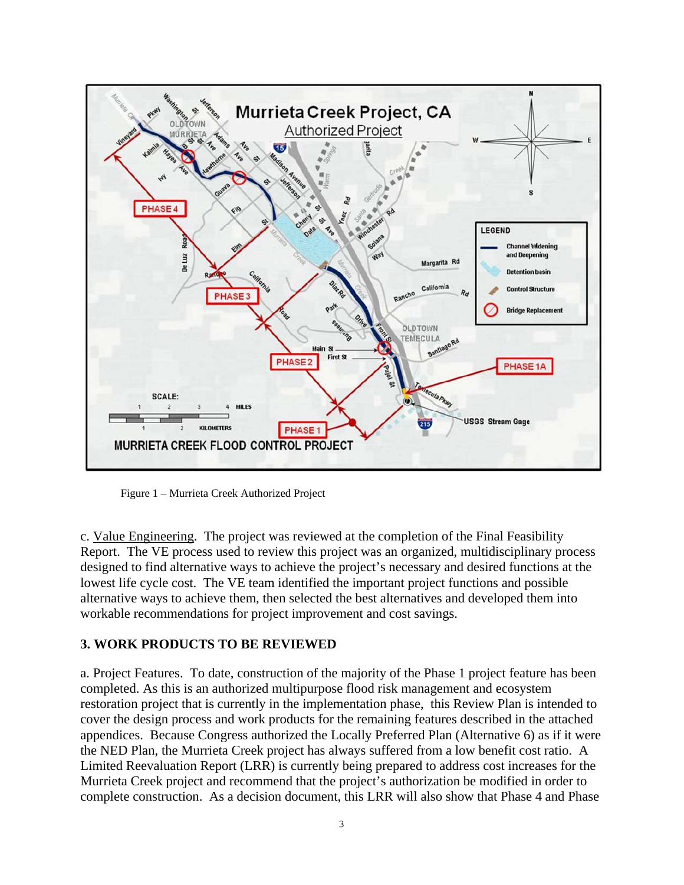

Figure 1 – Murrieta Creek Authorized Project

c. Value Engineering. The project was reviewed at the completion of the Final Feasibility Report. The VE process used to review this project was an organized, multidisciplinary process designed to find alternative ways to achieve the project's necessary and desired functions at the lowest life cycle cost. The VE team identified the important project functions and possible alternative ways to achieve them, then selected the best alternatives and developed them into workable recommendations for project improvement and cost savings.

#### **3. WORK PRODUCTS TO BE REVIEWED**

a. Project Features. To date, construction of the majority of the Phase 1 project feature has been completed. As this is an authorized multipurpose flood risk management and ecosystem restoration project that is currently in the implementation phase, this Review Plan is intended to cover the design process and work products for the remaining features described in the attached appendices. Because Congress authorized the Locally Preferred Plan (Alternative 6) as if it were the NED Plan, the Murrieta Creek project has always suffered from a low benefit cost ratio. A Limited Reevaluation Report (LRR) is currently being prepared to address cost increases for the Murrieta Creek project and recommend that the project's authorization be modified in order to complete construction. As a decision document, this LRR will also show that Phase 4 and Phase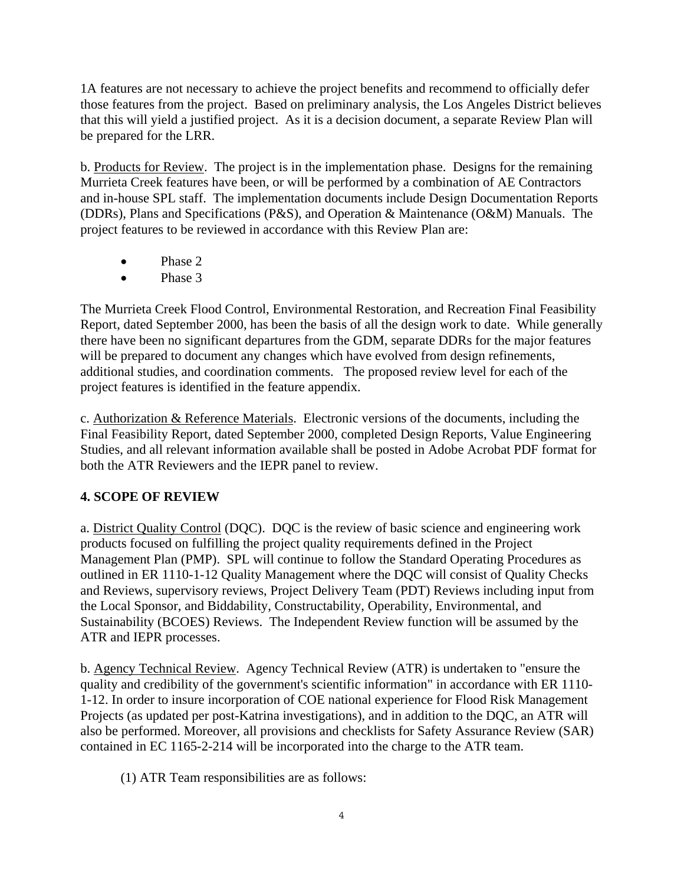1A features are not necessary to achieve the project benefits and recommend to officially defer those features from the project. Based on preliminary analysis, the Los Angeles District believes that this will yield a justified project. As it is a decision document, a separate Review Plan will be prepared for the LRR.

b. Products for Review. The project is in the implementation phase. Designs for the remaining Murrieta Creek features have been, or will be performed by a combination of AE Contractors and in-house SPL staff. The implementation documents include Design Documentation Reports (DDRs), Plans and Specifications (P&S), and Operation & Maintenance (O&M) Manuals. The project features to be reviewed in accordance with this Review Plan are:

- Phase 2
- Phase 3

The Murrieta Creek Flood Control, Environmental Restoration, and Recreation Final Feasibility Report, dated September 2000, has been the basis of all the design work to date. While generally there have been no significant departures from the GDM, separate DDRs for the major features will be prepared to document any changes which have evolved from design refinements, additional studies, and coordination comments. The proposed review level for each of the project features is identified in the feature appendix.

c. Authorization & Reference Materials. Electronic versions of the documents, including the Final Feasibility Report, dated September 2000, completed Design Reports, Value Engineering Studies, and all relevant information available shall be posted in Adobe Acrobat PDF format for both the ATR Reviewers and the IEPR panel to review.

# **4. SCOPE OF REVIEW**

a. District Quality Control (DQC). DQC is the review of basic science and engineering work products focused on fulfilling the project quality requirements defined in the Project Management Plan (PMP). SPL will continue to follow the Standard Operating Procedures as outlined in ER 1110-1-12 Quality Management where the DQC will consist of Quality Checks and Reviews, supervisory reviews, Project Delivery Team (PDT) Reviews including input from the Local Sponsor, and Biddability, Constructability, Operability, Environmental, and Sustainability (BCOES) Reviews. The Independent Review function will be assumed by the ATR and IEPR processes.

b. Agency Technical Review. Agency Technical Review (ATR) is undertaken to "ensure the quality and credibility of the government's scientific information" in accordance with ER 1110- 1-12. In order to insure incorporation of COE national experience for Flood Risk Management Projects (as updated per post-Katrina investigations), and in addition to the DQC, an ATR will also be performed. Moreover, all provisions and checklists for Safety Assurance Review (SAR) contained in EC 1165-2-214 will be incorporated into the charge to the ATR team.

(1) ATR Team responsibilities are as follows: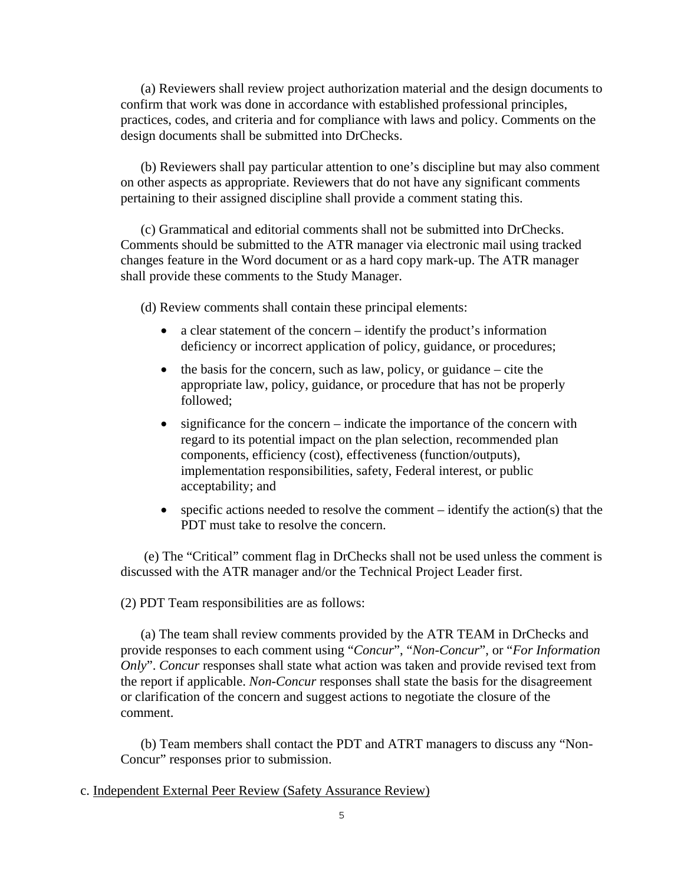(a) Reviewers shall review project authorization material and the design documents to confirm that work was done in accordance with established professional principles, practices, codes, and criteria and for compliance with laws and policy. Comments on the design documents shall be submitted into DrChecks.

(b) Reviewers shall pay particular attention to one's discipline but may also comment on other aspects as appropriate. Reviewers that do not have any significant comments pertaining to their assigned discipline shall provide a comment stating this.

(c) Grammatical and editorial comments shall not be submitted into DrChecks. Comments should be submitted to the ATR manager via electronic mail using tracked changes feature in the Word document or as a hard copy mark-up. The ATR manager shall provide these comments to the Study Manager.

(d) Review comments shall contain these principal elements:

- a clear statement of the concern identify the product's information deficiency or incorrect application of policy, guidance, or procedures;
- $\bullet$  the basis for the concern, such as law, policy, or guidance cite the appropriate law, policy, guidance, or procedure that has not be properly followed;
- significance for the concern indicate the importance of the concern with regard to its potential impact on the plan selection, recommended plan components, efficiency (cost), effectiveness (function/outputs), implementation responsibilities, safety, Federal interest, or public acceptability; and
- $\bullet$  specific actions needed to resolve the comment identify the action(s) that the PDT must take to resolve the concern.

 (e) The "Critical" comment flag in DrChecks shall not be used unless the comment is discussed with the ATR manager and/or the Technical Project Leader first.

(2) PDT Team responsibilities are as follows:

(a) The team shall review comments provided by the ATR TEAM in DrChecks and provide responses to each comment using "*Concur*", "*Non-Concur*", or "*For Information Only*". *Concur* responses shall state what action was taken and provide revised text from the report if applicable. *Non-Concur* responses shall state the basis for the disagreement or clarification of the concern and suggest actions to negotiate the closure of the comment.

(b) Team members shall contact the PDT and ATRT managers to discuss any "Non-Concur" responses prior to submission.

c. Independent External Peer Review (Safety Assurance Review)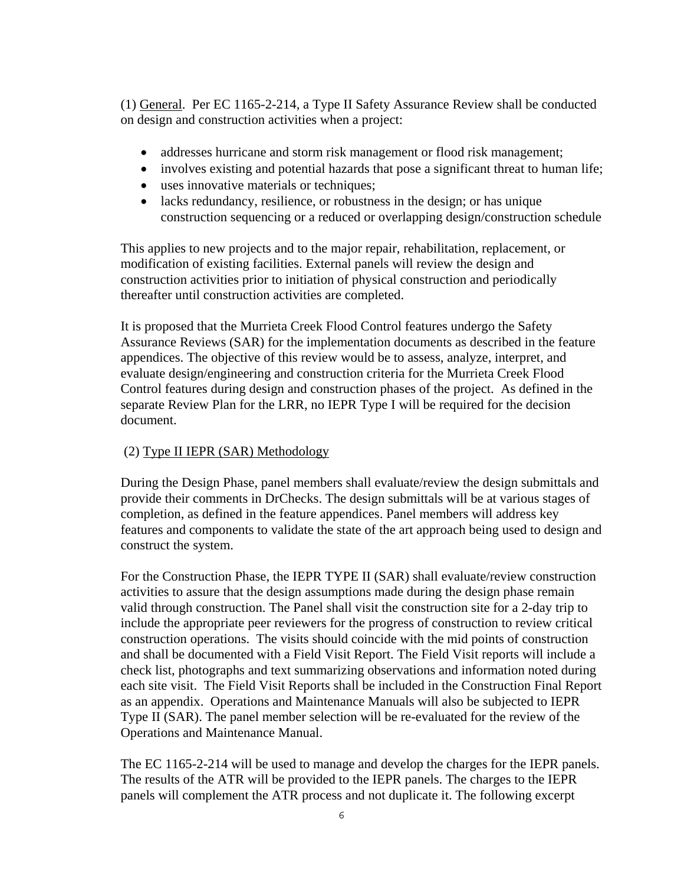(1) General. Per EC 1165-2-214, a Type II Safety Assurance Review shall be conducted on design and construction activities when a project:

- addresses hurricane and storm risk management or flood risk management;
- involves existing and potential hazards that pose a significant threat to human life;
- uses innovative materials or techniques;
- lacks redundancy, resilience, or robustness in the design; or has unique construction sequencing or a reduced or overlapping design/construction schedule

This applies to new projects and to the major repair, rehabilitation, replacement, or modification of existing facilities. External panels will review the design and construction activities prior to initiation of physical construction and periodically thereafter until construction activities are completed.

It is proposed that the Murrieta Creek Flood Control features undergo the Safety Assurance Reviews (SAR) for the implementation documents as described in the feature appendices. The objective of this review would be to assess, analyze, interpret, and evaluate design/engineering and construction criteria for the Murrieta Creek Flood Control features during design and construction phases of the project. As defined in the separate Review Plan for the LRR, no IEPR Type I will be required for the decision document.

## (2) Type II IEPR (SAR) Methodology

During the Design Phase, panel members shall evaluate/review the design submittals and provide their comments in DrChecks. The design submittals will be at various stages of completion, as defined in the feature appendices. Panel members will address key features and components to validate the state of the art approach being used to design and construct the system.

For the Construction Phase, the IEPR TYPE II (SAR) shall evaluate/review construction activities to assure that the design assumptions made during the design phase remain valid through construction. The Panel shall visit the construction site for a 2-day trip to include the appropriate peer reviewers for the progress of construction to review critical construction operations. The visits should coincide with the mid points of construction and shall be documented with a Field Visit Report. The Field Visit reports will include a check list, photographs and text summarizing observations and information noted during each site visit. The Field Visit Reports shall be included in the Construction Final Report as an appendix. Operations and Maintenance Manuals will also be subjected to IEPR Type II (SAR). The panel member selection will be re-evaluated for the review of the Operations and Maintenance Manual.

The EC 1165-2-214 will be used to manage and develop the charges for the IEPR panels. The results of the ATR will be provided to the IEPR panels. The charges to the IEPR panels will complement the ATR process and not duplicate it. The following excerpt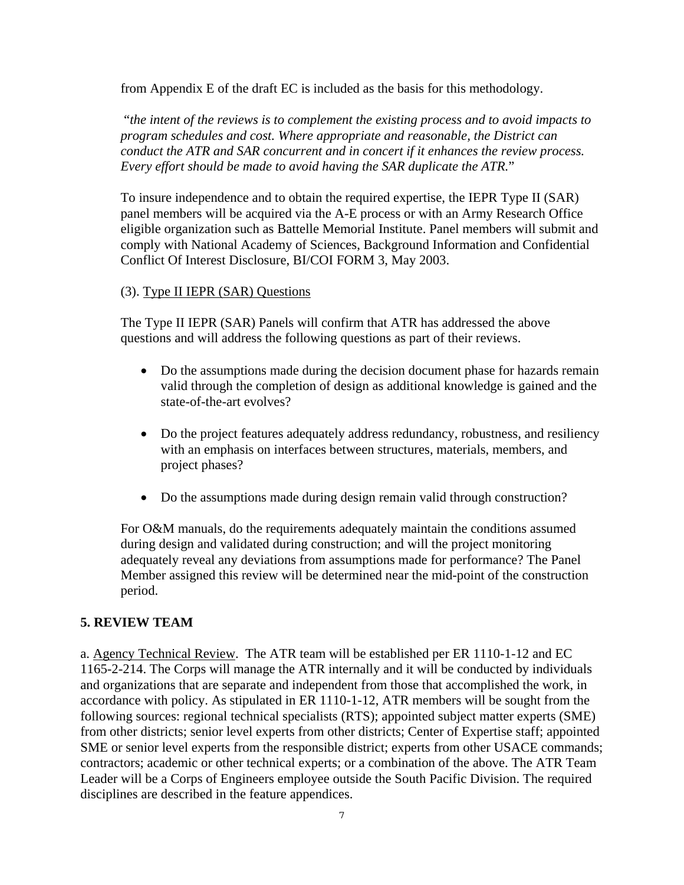from Appendix E of the draft EC is included as the basis for this methodology.

 "*the intent of the reviews is to complement the existing process and to avoid impacts to program schedules and cost. Where appropriate and reasonable, the District can conduct the ATR and SAR concurrent and in concert if it enhances the review process. Every effort should be made to avoid having the SAR duplicate the ATR.*"

To insure independence and to obtain the required expertise, the IEPR Type II (SAR) panel members will be acquired via the A-E process or with an Army Research Office eligible organization such as Battelle Memorial Institute. Panel members will submit and comply with National Academy of Sciences, Background Information and Confidential Conflict Of Interest Disclosure, BI/COI FORM 3, May 2003.

## (3). Type II IEPR (SAR) Questions

The Type II IEPR (SAR) Panels will confirm that ATR has addressed the above questions and will address the following questions as part of their reviews.

- Do the assumptions made during the decision document phase for hazards remain valid through the completion of design as additional knowledge is gained and the state-of-the-art evolves?
- Do the project features adequately address redundancy, robustness, and resiliency with an emphasis on interfaces between structures, materials, members, and project phases?
- Do the assumptions made during design remain valid through construction?

For O&M manuals, do the requirements adequately maintain the conditions assumed during design and validated during construction; and will the project monitoring adequately reveal any deviations from assumptions made for performance? The Panel Member assigned this review will be determined near the mid-point of the construction period.

#### **5. REVIEW TEAM**

a. Agency Technical Review. The ATR team will be established per ER 1110-1-12 and EC 1165-2-214. The Corps will manage the ATR internally and it will be conducted by individuals and organizations that are separate and independent from those that accomplished the work, in accordance with policy. As stipulated in ER 1110-1-12, ATR members will be sought from the following sources: regional technical specialists (RTS); appointed subject matter experts (SME) from other districts; senior level experts from other districts; Center of Expertise staff; appointed SME or senior level experts from the responsible district; experts from other USACE commands; contractors; academic or other technical experts; or a combination of the above. The ATR Team Leader will be a Corps of Engineers employee outside the South Pacific Division. The required disciplines are described in the feature appendices.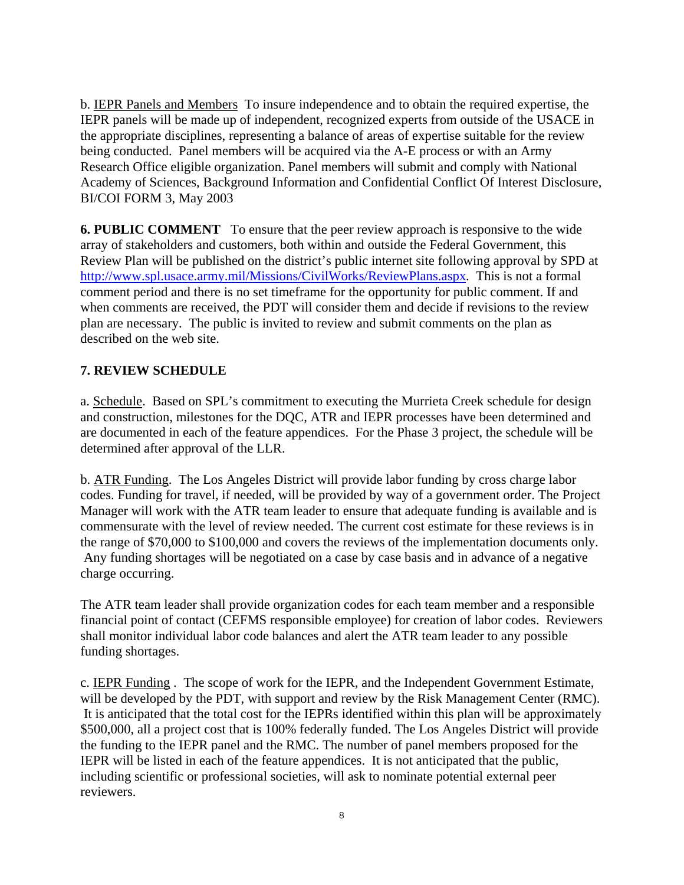b. IEPR Panels and Members To insure independence and to obtain the required expertise, the IEPR panels will be made up of independent, recognized experts from outside of the USACE in the appropriate disciplines, representing a balance of areas of expertise suitable for the review being conducted. Panel members will be acquired via the A-E process or with an Army Research Office eligible organization. Panel members will submit and comply with National Academy of Sciences, Background Information and Confidential Conflict Of Interest Disclosure, BI/COI FORM 3, May 2003

**6. PUBLIC COMMENT** To ensure that the peer review approach is responsive to the wide array of stakeholders and customers, both within and outside the Federal Government, this Review Plan will be published on the district's public internet site following approval by SPD at http://www.spl.usace.army.mil/Missions/CivilWorks/ReviewPlans.aspx. This is not a formal comment period and there is no set timeframe for the opportunity for public comment. If and when comments are received, the PDT will consider them and decide if revisions to the review plan are necessary. The public is invited to review and submit comments on the plan as described on the web site.

## **7. REVIEW SCHEDULE**

a. Schedule. Based on SPL's commitment to executing the Murrieta Creek schedule for design and construction, milestones for the DQC, ATR and IEPR processes have been determined and are documented in each of the feature appendices. For the Phase 3 project, the schedule will be determined after approval of the LLR.

b. ATR Funding. The Los Angeles District will provide labor funding by cross charge labor codes. Funding for travel, if needed, will be provided by way of a government order. The Project Manager will work with the ATR team leader to ensure that adequate funding is available and is commensurate with the level of review needed. The current cost estimate for these reviews is in the range of \$70,000 to \$100,000 and covers the reviews of the implementation documents only. Any funding shortages will be negotiated on a case by case basis and in advance of a negative charge occurring.

The ATR team leader shall provide organization codes for each team member and a responsible financial point of contact (CEFMS responsible employee) for creation of labor codes. Reviewers shall monitor individual labor code balances and alert the ATR team leader to any possible funding shortages.

c. IEPR Funding . The scope of work for the IEPR, and the Independent Government Estimate, will be developed by the PDT, with support and review by the Risk Management Center (RMC). It is anticipated that the total cost for the IEPRs identified within this plan will be approximately \$500,000, all a project cost that is 100% federally funded. The Los Angeles District will provide the funding to the IEPR panel and the RMC. The number of panel members proposed for the IEPR will be listed in each of the feature appendices. It is not anticipated that the public, including scientific or professional societies, will ask to nominate potential external peer reviewers.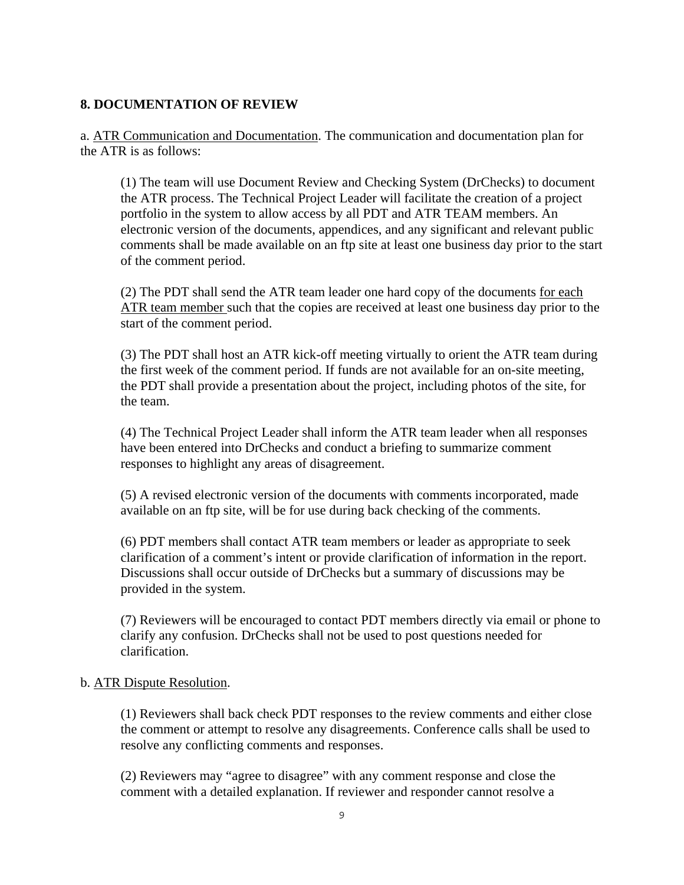#### **8. DOCUMENTATION OF REVIEW**

a. ATR Communication and Documentation. The communication and documentation plan for the ATR is as follows:

(1) The team will use Document Review and Checking System (DrChecks) to document the ATR process. The Technical Project Leader will facilitate the creation of a project portfolio in the system to allow access by all PDT and ATR TEAM members. An electronic version of the documents, appendices, and any significant and relevant public comments shall be made available on an ftp site at least one business day prior to the start of the comment period.

(2) The PDT shall send the ATR team leader one hard copy of the documents for each ATR team member such that the copies are received at least one business day prior to the start of the comment period.

(3) The PDT shall host an ATR kick-off meeting virtually to orient the ATR team during the first week of the comment period. If funds are not available for an on-site meeting, the PDT shall provide a presentation about the project, including photos of the site, for the team.

(4) The Technical Project Leader shall inform the ATR team leader when all responses have been entered into DrChecks and conduct a briefing to summarize comment responses to highlight any areas of disagreement.

(5) A revised electronic version of the documents with comments incorporated, made available on an ftp site, will be for use during back checking of the comments.

(6) PDT members shall contact ATR team members or leader as appropriate to seek clarification of a comment's intent or provide clarification of information in the report. Discussions shall occur outside of DrChecks but a summary of discussions may be provided in the system.

(7) Reviewers will be encouraged to contact PDT members directly via email or phone to clarify any confusion. DrChecks shall not be used to post questions needed for clarification.

#### b. ATR Dispute Resolution.

(1) Reviewers shall back check PDT responses to the review comments and either close the comment or attempt to resolve any disagreements. Conference calls shall be used to resolve any conflicting comments and responses.

(2) Reviewers may "agree to disagree" with any comment response and close the comment with a detailed explanation. If reviewer and responder cannot resolve a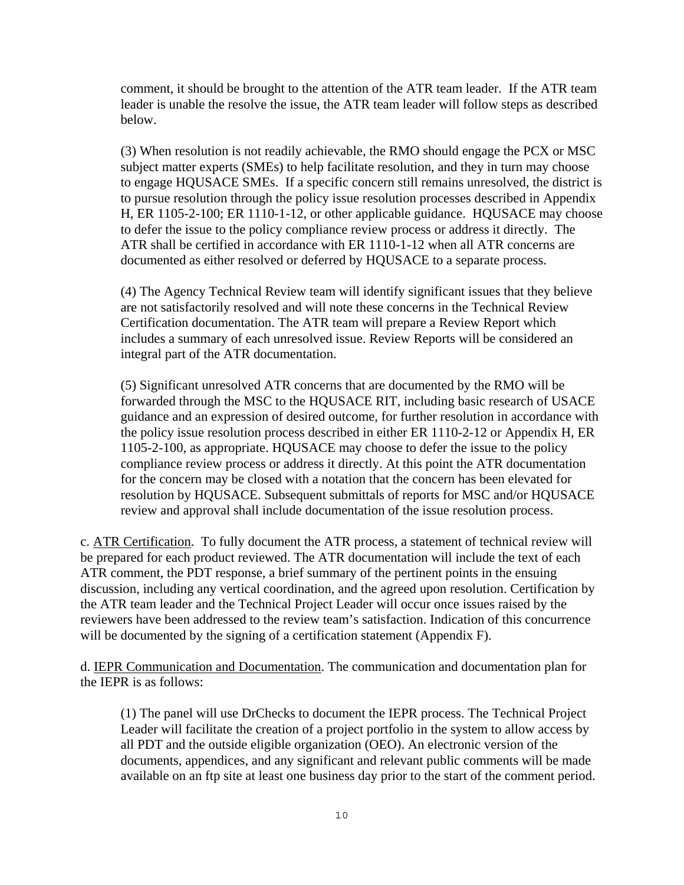comment, it should be brought to the attention of the ATR team leader. If the ATR team leader is unable the resolve the issue, the ATR team leader will follow steps as described below.

(3) When resolution is not readily achievable, the RMO should engage the PCX or MSC subject matter experts (SMEs) to help facilitate resolution, and they in turn may choose to engage HQUSACE SMEs. If a specific concern still remains unresolved, the district is to pursue resolution through the policy issue resolution processes described in Appendix H, ER 1105-2-100; ER 1110-1-12, or other applicable guidance. HQUSACE may choose to defer the issue to the policy compliance review process or address it directly. The ATR shall be certified in accordance with ER 1110-1-12 when all ATR concerns are documented as either resolved or deferred by HQUSACE to a separate process.

(4) The Agency Technical Review team will identify significant issues that they believe are not satisfactorily resolved and will note these concerns in the Technical Review Certification documentation. The ATR team will prepare a Review Report which includes a summary of each unresolved issue. Review Reports will be considered an integral part of the ATR documentation.

(5) Significant unresolved ATR concerns that are documented by the RMO will be forwarded through the MSC to the HQUSACE RIT, including basic research of USACE guidance and an expression of desired outcome, for further resolution in accordance with the policy issue resolution process described in either ER 1110-2-12 or Appendix H, ER 1105-2-100, as appropriate. HQUSACE may choose to defer the issue to the policy compliance review process or address it directly. At this point the ATR documentation for the concern may be closed with a notation that the concern has been elevated for resolution by HQUSACE. Subsequent submittals of reports for MSC and/or HQUSACE review and approval shall include documentation of the issue resolution process.

c. ATR Certification.To fully document the ATR process, a statement of technical review will be prepared for each product reviewed. The ATR documentation will include the text of each ATR comment, the PDT response, a brief summary of the pertinent points in the ensuing discussion, including any vertical coordination, and the agreed upon resolution. Certification by the ATR team leader and the Technical Project Leader will occur once issues raised by the reviewers have been addressed to the review team's satisfaction. Indication of this concurrence will be documented by the signing of a certification statement (Appendix F).

d. IEPR Communication and Documentation. The communication and documentation plan for the IEPR is as follows:

(1) The panel will use DrChecks to document the IEPR process. The Technical Project Leader will facilitate the creation of a project portfolio in the system to allow access by all PDT and the outside eligible organization (OEO). An electronic version of the documents, appendices, and any significant and relevant public comments will be made available on an ftp site at least one business day prior to the start of the comment period.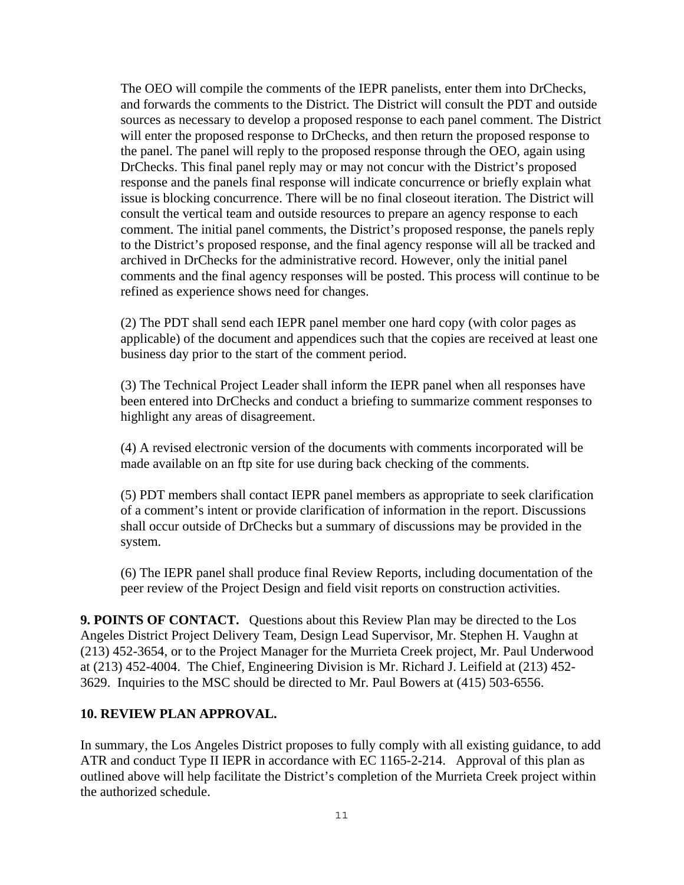The OEO will compile the comments of the IEPR panelists, enter them into DrChecks, and forwards the comments to the District. The District will consult the PDT and outside sources as necessary to develop a proposed response to each panel comment. The District will enter the proposed response to DrChecks, and then return the proposed response to the panel. The panel will reply to the proposed response through the OEO, again using DrChecks. This final panel reply may or may not concur with the District's proposed response and the panels final response will indicate concurrence or briefly explain what issue is blocking concurrence. There will be no final closeout iteration. The District will consult the vertical team and outside resources to prepare an agency response to each comment. The initial panel comments, the District's proposed response, the panels reply to the District's proposed response, and the final agency response will all be tracked and archived in DrChecks for the administrative record. However, only the initial panel comments and the final agency responses will be posted. This process will continue to be refined as experience shows need for changes.

(2) The PDT shall send each IEPR panel member one hard copy (with color pages as applicable) of the document and appendices such that the copies are received at least one business day prior to the start of the comment period.

(3) The Technical Project Leader shall inform the IEPR panel when all responses have been entered into DrChecks and conduct a briefing to summarize comment responses to highlight any areas of disagreement.

(4) A revised electronic version of the documents with comments incorporated will be made available on an ftp site for use during back checking of the comments.

(5) PDT members shall contact IEPR panel members as appropriate to seek clarification of a comment's intent or provide clarification of information in the report. Discussions shall occur outside of DrChecks but a summary of discussions may be provided in the system.

(6) The IEPR panel shall produce final Review Reports, including documentation of the peer review of the Project Design and field visit reports on construction activities.

**9. POINTS OF CONTACT.** Questions about this Review Plan may be directed to the Los Angeles District Project Delivery Team, Design Lead Supervisor, Mr. Stephen H. Vaughn at (213) 452-3654, or to the Project Manager for the Murrieta Creek project, Mr. Paul Underwood at (213) 452-4004. The Chief, Engineering Division is Mr. Richard J. Leifield at (213) 452- 3629. Inquiries to the MSC should be directed to Mr. Paul Bowers at (415) 503-6556.

#### **10. REVIEW PLAN APPROVAL.**

In summary, the Los Angeles District proposes to fully comply with all existing guidance, to add ATR and conduct Type II IEPR in accordance with EC 1165-2-214. Approval of this plan as outlined above will help facilitate the District's completion of the Murrieta Creek project within the authorized schedule.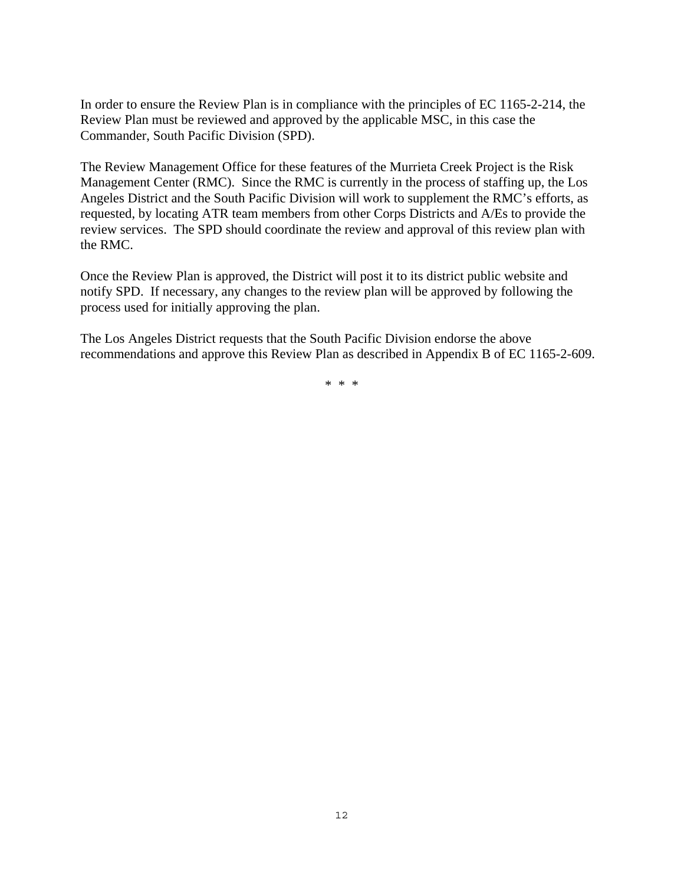In order to ensure the Review Plan is in compliance with the principles of EC 1165-2-214, the Review Plan must be reviewed and approved by the applicable MSC, in this case the Commander, South Pacific Division (SPD).

The Review Management Office for these features of the Murrieta Creek Project is the Risk Management Center (RMC). Since the RMC is currently in the process of staffing up, the Los Angeles District and the South Pacific Division will work to supplement the RMC's efforts, as requested, by locating ATR team members from other Corps Districts and A/Es to provide the review services. The SPD should coordinate the review and approval of this review plan with the RMC.

Once the Review Plan is approved, the District will post it to its district public website and notify SPD. If necessary, any changes to the review plan will be approved by following the process used for initially approving the plan.

The Los Angeles District requests that the South Pacific Division endorse the above recommendations and approve this Review Plan as described in Appendix B of EC 1165-2-609.

\* \* \*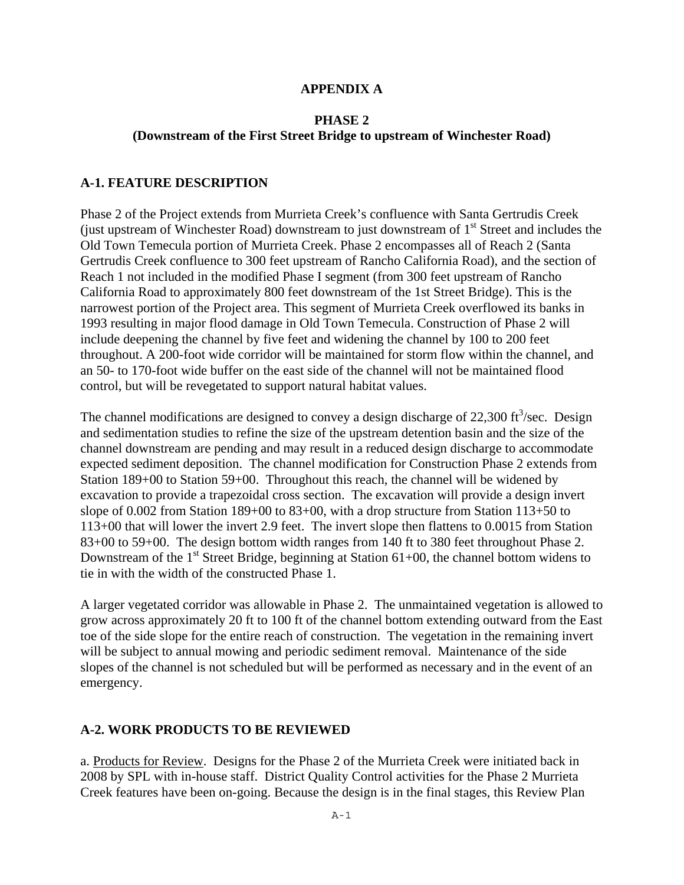#### **APPENDIX A**

## **PHASE 2 (Downstream of the First Street Bridge to upstream of Winchester Road)**

#### **A-1. FEATURE DESCRIPTION**

Phase 2 of the Project extends from Murrieta Creek's confluence with Santa Gertrudis Creek (just upstream of Winchester Road) downstream to just downstream of  $1<sup>st</sup>$  Street and includes the Old Town Temecula portion of Murrieta Creek. Phase 2 encompasses all of Reach 2 (Santa Gertrudis Creek confluence to 300 feet upstream of Rancho California Road), and the section of Reach 1 not included in the modified Phase I segment (from 300 feet upstream of Rancho California Road to approximately 800 feet downstream of the 1st Street Bridge). This is the narrowest portion of the Project area. This segment of Murrieta Creek overflowed its banks in 1993 resulting in major flood damage in Old Town Temecula. Construction of Phase 2 will include deepening the channel by five feet and widening the channel by 100 to 200 feet throughout. A 200-foot wide corridor will be maintained for storm flow within the channel, and an 50- to 170-foot wide buffer on the east side of the channel will not be maintained flood control, but will be revegetated to support natural habitat values.

The channel modifications are designed to convey a design discharge of  $22,300$  ft<sup>3</sup>/sec. Design and sedimentation studies to refine the size of the upstream detention basin and the size of the channel downstream are pending and may result in a reduced design discharge to accommodate expected sediment deposition. The channel modification for Construction Phase 2 extends from Station 189+00 to Station 59+00. Throughout this reach, the channel will be widened by excavation to provide a trapezoidal cross section. The excavation will provide a design invert slope of 0.002 from Station 189+00 to 83+00, with a drop structure from Station 113+50 to 113+00 that will lower the invert 2.9 feet. The invert slope then flattens to 0.0015 from Station 83+00 to 59+00. The design bottom width ranges from 140 ft to 380 feet throughout Phase 2. Downstream of the  $1<sup>st</sup>$  Street Bridge, beginning at Station 61+00, the channel bottom widens to tie in with the width of the constructed Phase 1.

A larger vegetated corridor was allowable in Phase 2. The unmaintained vegetation is allowed to grow across approximately 20 ft to 100 ft of the channel bottom extending outward from the East toe of the side slope for the entire reach of construction. The vegetation in the remaining invert will be subject to annual mowing and periodic sediment removal. Maintenance of the side slopes of the channel is not scheduled but will be performed as necessary and in the event of an emergency.

#### **A-2. WORK PRODUCTS TO BE REVIEWED**

a. Products for Review. Designs for the Phase 2 of the Murrieta Creek were initiated back in 2008 by SPL with in-house staff. District Quality Control activities for the Phase 2 Murrieta Creek features have been on-going. Because the design is in the final stages, this Review Plan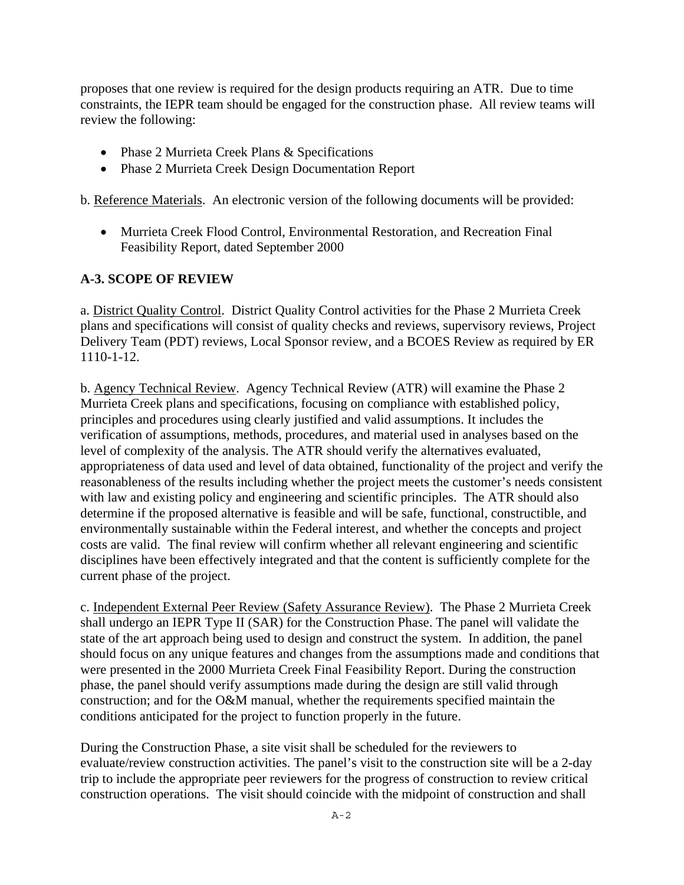proposes that one review is required for the design products requiring an ATR. Due to time constraints, the IEPR team should be engaged for the construction phase. All review teams will review the following:

- Phase 2 Murrieta Creek Plans & Specifications
- Phase 2 Murrieta Creek Design Documentation Report

b. Reference Materials. An electronic version of the following documents will be provided:

 Murrieta Creek Flood Control, Environmental Restoration, and Recreation Final Feasibility Report, dated September 2000

## **A-3. SCOPE OF REVIEW**

a. District Quality Control. District Quality Control activities for the Phase 2 Murrieta Creek plans and specifications will consist of quality checks and reviews, supervisory reviews, Project Delivery Team (PDT) reviews, Local Sponsor review, and a BCOES Review as required by ER 1110-1-12.

b. Agency Technical Review. Agency Technical Review (ATR) will examine the Phase 2 Murrieta Creek plans and specifications, focusing on compliance with established policy, principles and procedures using clearly justified and valid assumptions. It includes the verification of assumptions, methods, procedures, and material used in analyses based on the level of complexity of the analysis. The ATR should verify the alternatives evaluated, appropriateness of data used and level of data obtained, functionality of the project and verify the reasonableness of the results including whether the project meets the customer's needs consistent with law and existing policy and engineering and scientific principles. The ATR should also determine if the proposed alternative is feasible and will be safe, functional, constructible, and environmentally sustainable within the Federal interest, and whether the concepts and project costs are valid. The final review will confirm whether all relevant engineering and scientific disciplines have been effectively integrated and that the content is sufficiently complete for the current phase of the project.

c. Independent External Peer Review (Safety Assurance Review). The Phase 2 Murrieta Creek shall undergo an IEPR Type II (SAR) for the Construction Phase. The panel will validate the state of the art approach being used to design and construct the system. In addition, the panel should focus on any unique features and changes from the assumptions made and conditions that were presented in the 2000 Murrieta Creek Final Feasibility Report. During the construction phase, the panel should verify assumptions made during the design are still valid through construction; and for the O&M manual, whether the requirements specified maintain the conditions anticipated for the project to function properly in the future.

During the Construction Phase, a site visit shall be scheduled for the reviewers to evaluate/review construction activities. The panel's visit to the construction site will be a 2-day trip to include the appropriate peer reviewers for the progress of construction to review critical construction operations. The visit should coincide with the midpoint of construction and shall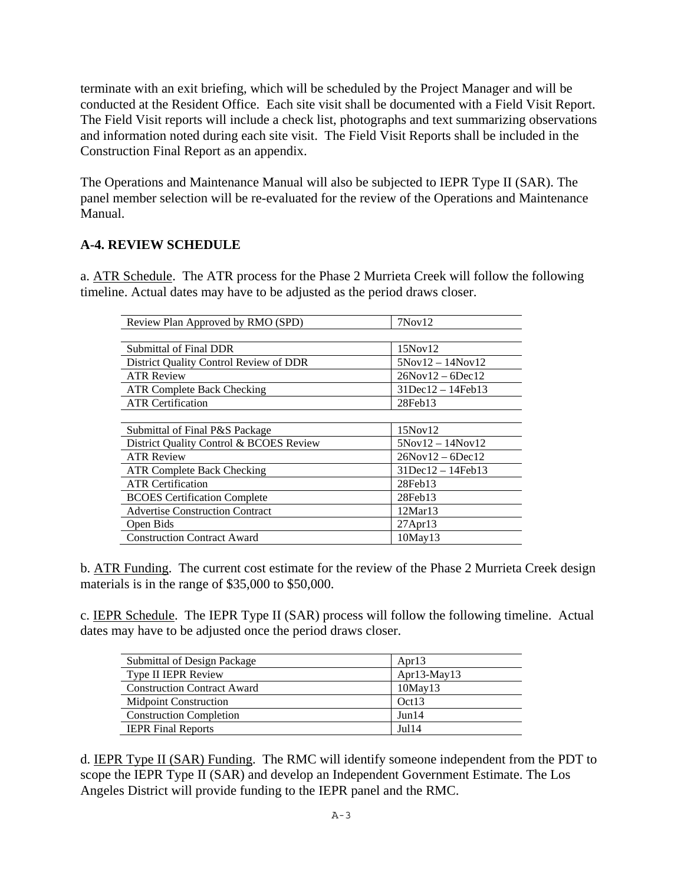terminate with an exit briefing, which will be scheduled by the Project Manager and will be conducted at the Resident Office. Each site visit shall be documented with a Field Visit Report. The Field Visit reports will include a check list, photographs and text summarizing observations and information noted during each site visit. The Field Visit Reports shall be included in the Construction Final Report as an appendix.

The Operations and Maintenance Manual will also be subjected to IEPR Type II (SAR). The panel member selection will be re-evaluated for the review of the Operations and Maintenance Manual.

## **A-4. REVIEW SCHEDULE**

a. ATR Schedule.The ATR process for the Phase 2 Murrieta Creek will follow the following timeline. Actual dates may have to be adjusted as the period draws closer.

| Review Plan Approved by RMO (SPD)       | 7Nov12                      |
|-----------------------------------------|-----------------------------|
|                                         |                             |
| Submittal of Final DDR                  | 15Nov12                     |
| District Quality Control Review of DDR  | $5Nov12 - 14Nov12$          |
| <b>ATR Review</b>                       | $26Nov12 - 6Dec12$          |
| <b>ATR Complete Back Checking</b>       | $31$ Dec $12 - 14$ Feb $13$ |
| <b>ATR Certification</b>                | 28Feb13                     |
|                                         |                             |
| Submittal of Final P&S Package          | 15Nov12                     |
| District Quality Control & BCOES Review | $5Nov12 - 14Nov12$          |
| <b>ATR Review</b>                       | $26Nov12 - 6Dec12$          |
| <b>ATR Complete Back Checking</b>       | $31$ Dec $12 - 14$ Feb $13$ |
| <b>ATR Certification</b>                | 28Feb13                     |
| <b>BCOES</b> Certification Complete     | 28Feb13                     |
| <b>Advertise Construction Contract</b>  | 12Mar13                     |
| Open Bids                               | $27$ Apr $13$               |
| <b>Construction Contract Award</b>      | 10May13                     |

b. ATR Funding. The current cost estimate for the review of the Phase 2 Murrieta Creek design materials is in the range of \$35,000 to \$50,000.

c. IEPR Schedule.The IEPR Type II (SAR) process will follow the following timeline. Actual dates may have to be adjusted once the period draws closer.

| Submittal of Design Package        | Apr $13$                             |
|------------------------------------|--------------------------------------|
| <b>Type II IEPR Review</b>         | Apr <sub>13</sub> -May <sub>13</sub> |
| <b>Construction Contract Award</b> | $10$ May $13$                        |
| <b>Midpoint Construction</b>       | Oct13                                |
| <b>Construction Completion</b>     | Jun14                                |
| <b>IEPR Final Reports</b>          | Jul 14                               |

d. IEPR Type II (SAR) Funding. The RMC will identify someone independent from the PDT to scope the IEPR Type II (SAR) and develop an Independent Government Estimate. The Los Angeles District will provide funding to the IEPR panel and the RMC.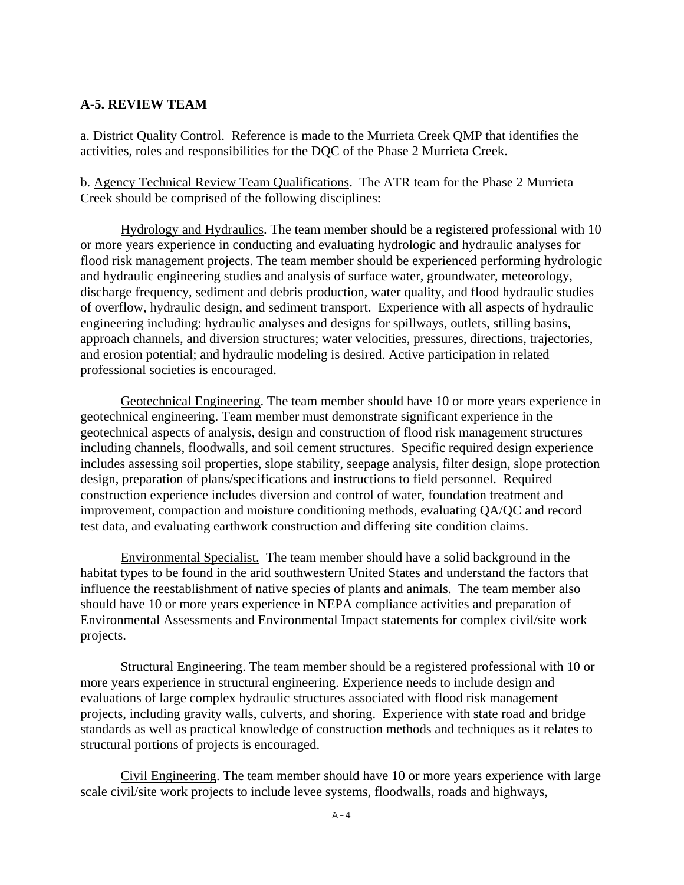#### **A-5. REVIEW TEAM**

a. District Quality Control. Reference is made to the Murrieta Creek QMP that identifies the activities, roles and responsibilities for the DQC of the Phase 2 Murrieta Creek.

b. Agency Technical Review Team Qualifications. The ATR team for the Phase 2 Murrieta Creek should be comprised of the following disciplines:

Hydrology and Hydraulics. The team member should be a registered professional with 10 or more years experience in conducting and evaluating hydrologic and hydraulic analyses for flood risk management projects. The team member should be experienced performing hydrologic and hydraulic engineering studies and analysis of surface water, groundwater, meteorology, discharge frequency, sediment and debris production, water quality, and flood hydraulic studies of overflow, hydraulic design, and sediment transport. Experience with all aspects of hydraulic engineering including: hydraulic analyses and designs for spillways, outlets, stilling basins, approach channels, and diversion structures; water velocities, pressures, directions, trajectories, and erosion potential; and hydraulic modeling is desired. Active participation in related professional societies is encouraged.

Geotechnical Engineering. The team member should have 10 or more years experience in geotechnical engineering. Team member must demonstrate significant experience in the geotechnical aspects of analysis, design and construction of flood risk management structures including channels, floodwalls, and soil cement structures. Specific required design experience includes assessing soil properties, slope stability, seepage analysis, filter design, slope protection design, preparation of plans/specifications and instructions to field personnel. Required construction experience includes diversion and control of water, foundation treatment and improvement, compaction and moisture conditioning methods, evaluating QA/QC and record test data, and evaluating earthwork construction and differing site condition claims.

Environmental Specialist. The team member should have a solid background in the habitat types to be found in the arid southwestern United States and understand the factors that influence the reestablishment of native species of plants and animals. The team member also should have 10 or more years experience in NEPA compliance activities and preparation of Environmental Assessments and Environmental Impact statements for complex civil/site work projects.

Structural Engineering. The team member should be a registered professional with 10 or more years experience in structural engineering. Experience needs to include design and evaluations of large complex hydraulic structures associated with flood risk management projects, including gravity walls, culverts, and shoring. Experience with state road and bridge standards as well as practical knowledge of construction methods and techniques as it relates to structural portions of projects is encouraged.

Civil Engineering. The team member should have 10 or more years experience with large scale civil/site work projects to include levee systems, floodwalls, roads and highways,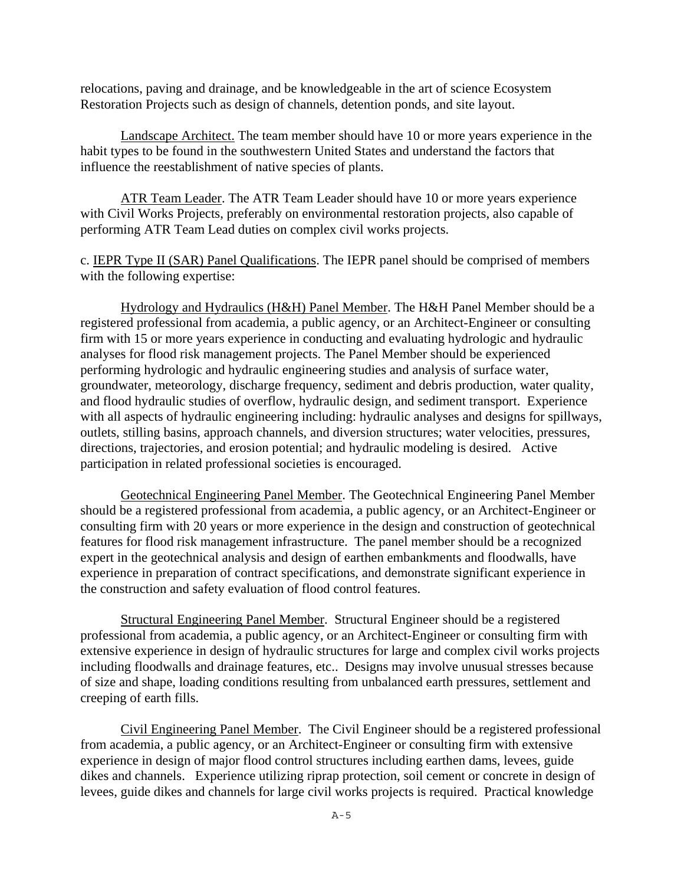relocations, paving and drainage, and be knowledgeable in the art of science Ecosystem Restoration Projects such as design of channels, detention ponds, and site layout.

Landscape Architect. The team member should have 10 or more years experience in the habit types to be found in the southwestern United States and understand the factors that influence the reestablishment of native species of plants.

ATR Team Leader. The ATR Team Leader should have 10 or more years experience with Civil Works Projects, preferably on environmental restoration projects, also capable of performing ATR Team Lead duties on complex civil works projects.

c. IEPR Type II (SAR) Panel Qualifications. The IEPR panel should be comprised of members with the following expertise:

Hydrology and Hydraulics (H&H) Panel Member. The H&H Panel Member should be a registered professional from academia, a public agency, or an Architect-Engineer or consulting firm with 15 or more years experience in conducting and evaluating hydrologic and hydraulic analyses for flood risk management projects. The Panel Member should be experienced performing hydrologic and hydraulic engineering studies and analysis of surface water, groundwater, meteorology, discharge frequency, sediment and debris production, water quality, and flood hydraulic studies of overflow, hydraulic design, and sediment transport. Experience with all aspects of hydraulic engineering including: hydraulic analyses and designs for spillways, outlets, stilling basins, approach channels, and diversion structures; water velocities, pressures, directions, trajectories, and erosion potential; and hydraulic modeling is desired. Active participation in related professional societies is encouraged.

Geotechnical Engineering Panel Member. The Geotechnical Engineering Panel Member should be a registered professional from academia, a public agency, or an Architect-Engineer or consulting firm with 20 years or more experience in the design and construction of geotechnical features for flood risk management infrastructure. The panel member should be a recognized expert in the geotechnical analysis and design of earthen embankments and floodwalls, have experience in preparation of contract specifications, and demonstrate significant experience in the construction and safety evaluation of flood control features.

Structural Engineering Panel Member. Structural Engineer should be a registered professional from academia, a public agency, or an Architect-Engineer or consulting firm with extensive experience in design of hydraulic structures for large and complex civil works projects including floodwalls and drainage features, etc.. Designs may involve unusual stresses because of size and shape, loading conditions resulting from unbalanced earth pressures, settlement and creeping of earth fills.

Civil Engineering Panel Member. The Civil Engineer should be a registered professional from academia, a public agency, or an Architect-Engineer or consulting firm with extensive experience in design of major flood control structures including earthen dams, levees, guide dikes and channels. Experience utilizing riprap protection, soil cement or concrete in design of levees, guide dikes and channels for large civil works projects is required. Practical knowledge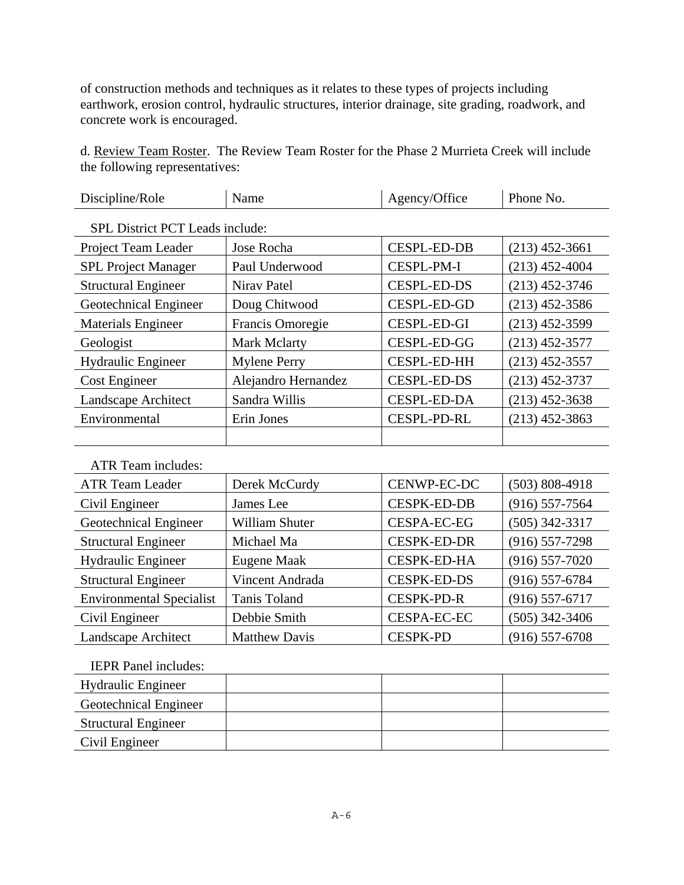of construction methods and techniques as it relates to these types of projects including earthwork, erosion control, hydraulic structures, interior drainage, site grading, roadwork, and concrete work is encouraged.

d. Review Team Roster. The Review Team Roster for the Phase 2 Murrieta Creek will include the following representatives:

| Discipline/Role                 | Name                | Agency/Office      | Phone No.          |  |
|---------------------------------|---------------------|--------------------|--------------------|--|
| SPL District PCT Leads include: |                     |                    |                    |  |
| Project Team Leader             | Jose Rocha          | <b>CESPL-ED-DB</b> | $(213)$ 452-3661   |  |
| <b>SPL Project Manager</b>      | Paul Underwood      | CESPL-PM-I         | $(213)$ 452-4004   |  |
| <b>Structural Engineer</b>      | Nirav Patel         | <b>CESPL-ED-DS</b> | $(213)$ 452-3746   |  |
| Geotechnical Engineer           | Doug Chitwood       | CESPL-ED-GD        | $(213)$ 452-3586   |  |
| <b>Materials Engineer</b>       | Francis Omoregie    | CESPL-ED-GI        | $(213)$ 452-3599   |  |
| Geologist                       | <b>Mark Mclarty</b> | CESPL-ED-GG        | $(213)$ 452-3577   |  |
| Hydraulic Engineer              | <b>Mylene Perry</b> | <b>CESPL-ED-HH</b> | $(213)$ 452-3557   |  |
| <b>Cost Engineer</b>            | Alejandro Hernandez | <b>CESPL-ED-DS</b> | $(213)$ 452-3737   |  |
| Landscape Architect             | Sandra Willis       | <b>CESPL-ED-DA</b> | $(213)$ 452-3638   |  |
| Environmental                   | Erin Jones          | <b>CESPL-PD-RL</b> | $(213)$ 452-3863   |  |
|                                 |                     |                    |                    |  |
| <b>ATR</b> Team includes:       |                     |                    |                    |  |
| <b>ATR Team Leader</b>          | Derek McCurdy       | CENWP-EC-DC        | $(503) 808 - 4918$ |  |
| Civil Engineer                  | James Lee           | <b>CESPK-ED-DB</b> | $(916) 557 - 7564$ |  |

Geotechnical Engineer | William Shuter | CESPA-EC-EG | (505) 342-3317 Structural Engineer | Michael Ma | CESPK-ED-DR | (916) 557-7298 Hydraulic Engineer Eugene Maak CESPK-ED-HA (916) 557-7020 Structural Engineer | Vincent Andrada | CESPK-ED-DS | (916) 557-6784 Environmental Specialist Tanis Toland CESPK-PD-R (916) 557-6717 Civil Engineer Debbie Smith CESPA-EC-EC (505) 342-3406

| Landscape Architect | <b>Matthew Davis</b> | <b>CESPK-PD</b> | $(916)$ 557-6708 |
|---------------------|----------------------|-----------------|------------------|
|                     |                      |                 |                  |

IEPR Panel includes:

| <b>Hydraulic Engineer</b>  |  |  |
|----------------------------|--|--|
| Geotechnical Engineer      |  |  |
| <b>Structural Engineer</b> |  |  |
| Civil Engineer             |  |  |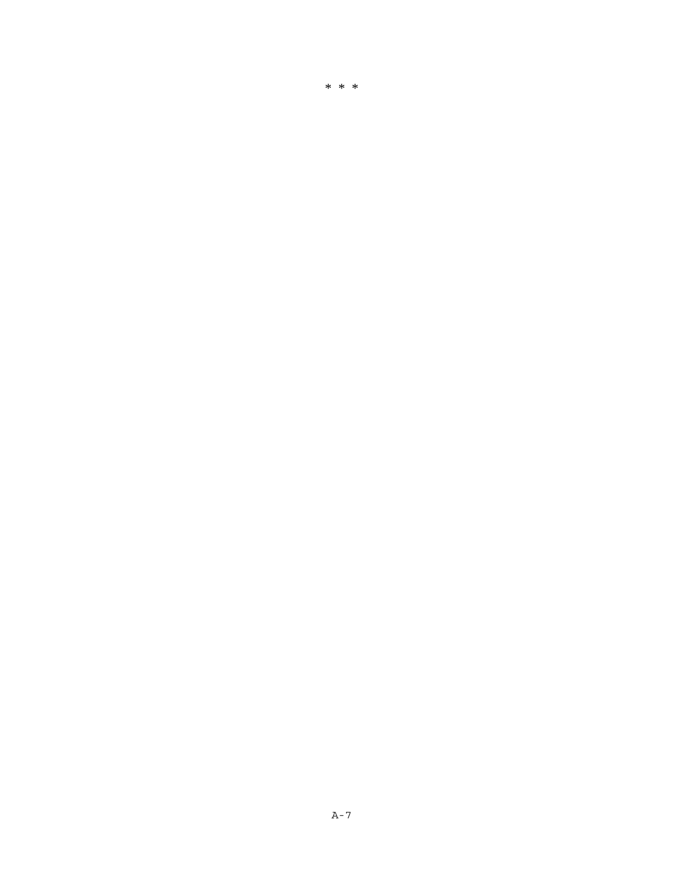\* \* \*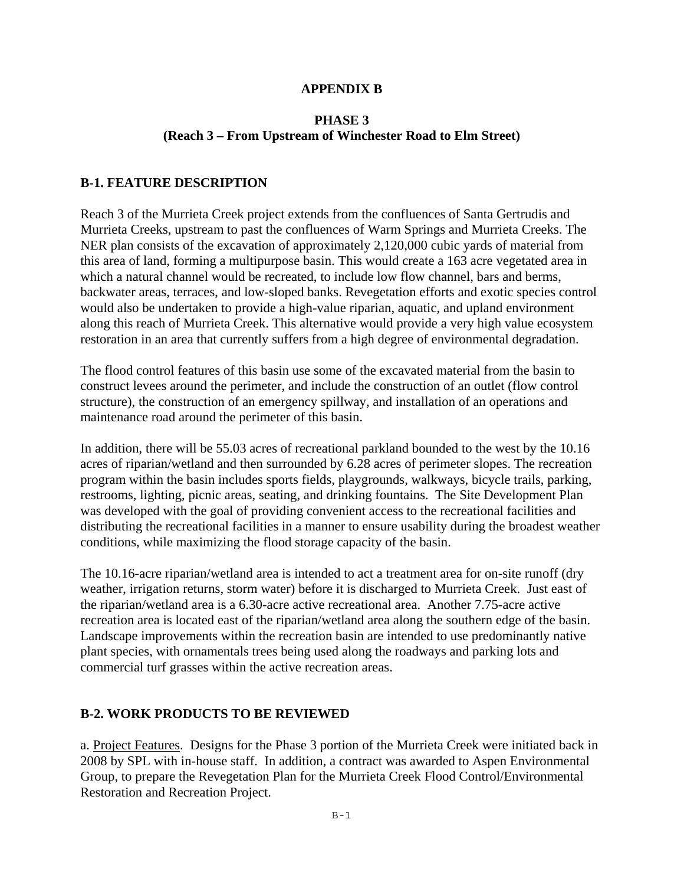#### **APPENDIX B**

#### **PHASE 3 (Reach 3 – From Upstream of Winchester Road to Elm Street)**

## **B-1. FEATURE DESCRIPTION**

Reach 3 of the Murrieta Creek project extends from the confluences of Santa Gertrudis and Murrieta Creeks, upstream to past the confluences of Warm Springs and Murrieta Creeks. The NER plan consists of the excavation of approximately 2,120,000 cubic yards of material from this area of land, forming a multipurpose basin. This would create a 163 acre vegetated area in which a natural channel would be recreated, to include low flow channel, bars and berms, backwater areas, terraces, and low-sloped banks. Revegetation efforts and exotic species control would also be undertaken to provide a high-value riparian, aquatic, and upland environment along this reach of Murrieta Creek. This alternative would provide a very high value ecosystem restoration in an area that currently suffers from a high degree of environmental degradation.

The flood control features of this basin use some of the excavated material from the basin to construct levees around the perimeter, and include the construction of an outlet (flow control structure), the construction of an emergency spillway, and installation of an operations and maintenance road around the perimeter of this basin.

In addition, there will be 55.03 acres of recreational parkland bounded to the west by the 10.16 acres of riparian/wetland and then surrounded by 6.28 acres of perimeter slopes. The recreation program within the basin includes sports fields, playgrounds, walkways, bicycle trails, parking, restrooms, lighting, picnic areas, seating, and drinking fountains. The Site Development Plan was developed with the goal of providing convenient access to the recreational facilities and distributing the recreational facilities in a manner to ensure usability during the broadest weather conditions, while maximizing the flood storage capacity of the basin.

The 10.16-acre riparian/wetland area is intended to act a treatment area for on-site runoff (dry weather, irrigation returns, storm water) before it is discharged to Murrieta Creek. Just east of the riparian/wetland area is a 6.30-acre active recreational area. Another 7.75-acre active recreation area is located east of the riparian/wetland area along the southern edge of the basin. Landscape improvements within the recreation basin are intended to use predominantly native plant species, with ornamentals trees being used along the roadways and parking lots and commercial turf grasses within the active recreation areas.

## **B-2. WORK PRODUCTS TO BE REVIEWED**

a. Project Features. Designs for the Phase 3 portion of the Murrieta Creek were initiated back in 2008 by SPL with in-house staff. In addition, a contract was awarded to Aspen Environmental Group, to prepare the Revegetation Plan for the Murrieta Creek Flood Control/Environmental Restoration and Recreation Project.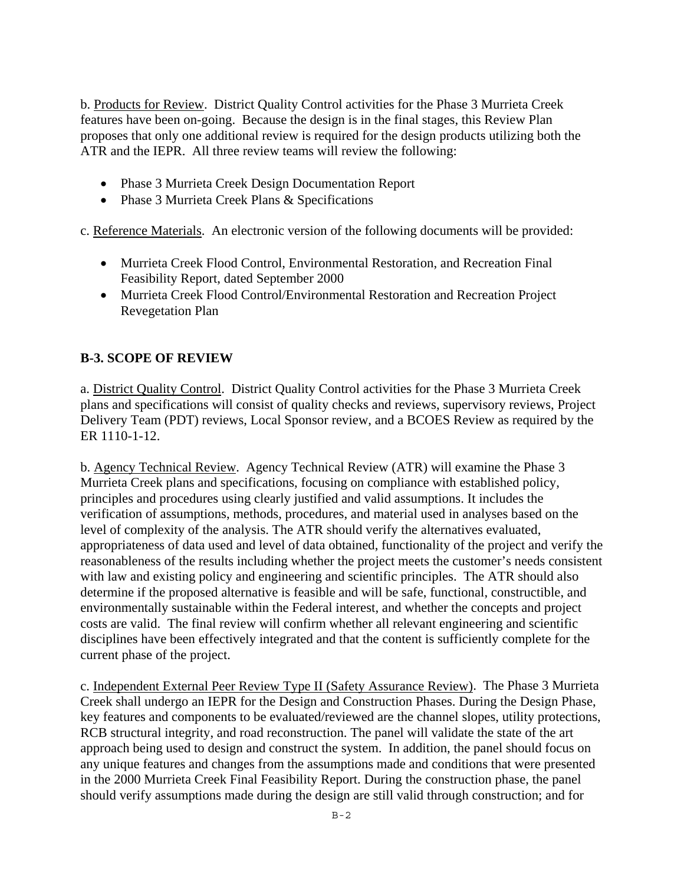b. Products for Review. District Quality Control activities for the Phase 3 Murrieta Creek features have been on-going. Because the design is in the final stages, this Review Plan proposes that only one additional review is required for the design products utilizing both the ATR and the IEPR. All three review teams will review the following:

- Phase 3 Murrieta Creek Design Documentation Report
- Phase 3 Murrieta Creek Plans & Specifications

c. Reference Materials. An electronic version of the following documents will be provided:

- Murrieta Creek Flood Control, Environmental Restoration, and Recreation Final Feasibility Report, dated September 2000
- Murrieta Creek Flood Control/Environmental Restoration and Recreation Project Revegetation Plan

## **B-3. SCOPE OF REVIEW**

a. District Quality Control. District Quality Control activities for the Phase 3 Murrieta Creek plans and specifications will consist of quality checks and reviews, supervisory reviews, Project Delivery Team (PDT) reviews, Local Sponsor review, and a BCOES Review as required by the ER 1110-1-12.

b. Agency Technical Review. Agency Technical Review (ATR) will examine the Phase 3 Murrieta Creek plans and specifications, focusing on compliance with established policy, principles and procedures using clearly justified and valid assumptions. It includes the verification of assumptions, methods, procedures, and material used in analyses based on the level of complexity of the analysis. The ATR should verify the alternatives evaluated, appropriateness of data used and level of data obtained, functionality of the project and verify the reasonableness of the results including whether the project meets the customer's needs consistent with law and existing policy and engineering and scientific principles. The ATR should also determine if the proposed alternative is feasible and will be safe, functional, constructible, and environmentally sustainable within the Federal interest, and whether the concepts and project costs are valid. The final review will confirm whether all relevant engineering and scientific disciplines have been effectively integrated and that the content is sufficiently complete for the current phase of the project.

c. Independent External Peer Review Type II (Safety Assurance Review). The Phase 3 Murrieta Creek shall undergo an IEPR for the Design and Construction Phases. During the Design Phase, key features and components to be evaluated/reviewed are the channel slopes, utility protections, RCB structural integrity, and road reconstruction. The panel will validate the state of the art approach being used to design and construct the system. In addition, the panel should focus on any unique features and changes from the assumptions made and conditions that were presented in the 2000 Murrieta Creek Final Feasibility Report. During the construction phase, the panel should verify assumptions made during the design are still valid through construction; and for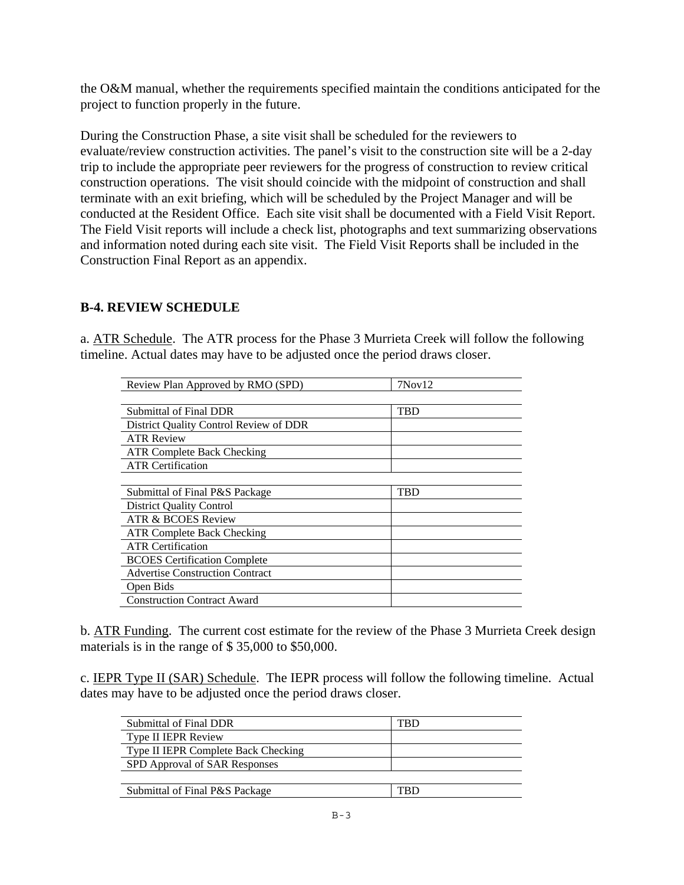the O&M manual, whether the requirements specified maintain the conditions anticipated for the project to function properly in the future.

During the Construction Phase, a site visit shall be scheduled for the reviewers to evaluate/review construction activities. The panel's visit to the construction site will be a 2-day trip to include the appropriate peer reviewers for the progress of construction to review critical construction operations. The visit should coincide with the midpoint of construction and shall terminate with an exit briefing, which will be scheduled by the Project Manager and will be conducted at the Resident Office. Each site visit shall be documented with a Field Visit Report. The Field Visit reports will include a check list, photographs and text summarizing observations and information noted during each site visit. The Field Visit Reports shall be included in the Construction Final Report as an appendix.

# **B-4. REVIEW SCHEDULE**

a. ATR Schedule.The ATR process for the Phase 3 Murrieta Creek will follow the following timeline. Actual dates may have to be adjusted once the period draws closer.

| Review Plan Approved by RMO (SPD)      | 7Nov12     |
|----------------------------------------|------------|
|                                        |            |
| Submittal of Final DDR                 | TBD        |
| District Quality Control Review of DDR |            |
| <b>ATR Review</b>                      |            |
| <b>ATR Complete Back Checking</b>      |            |
| <b>ATR Certification</b>               |            |
|                                        |            |
| Submittal of Final P&S Package         | <b>TBD</b> |
| <b>District Quality Control</b>        |            |
| ATR & BCOES Review                     |            |
| <b>ATR Complete Back Checking</b>      |            |
| <b>ATR Certification</b>               |            |
| <b>BCOES</b> Certification Complete    |            |
| <b>Advertise Construction Contract</b> |            |
| Open Bids                              |            |
| <b>Construction Contract Award</b>     |            |

b. ATR Funding. The current cost estimate for the review of the Phase 3 Murrieta Creek design materials is in the range of \$ 35,000 to \$50,000.

c. IEPR Type II (SAR) Schedule.The IEPR process will follow the following timeline. Actual dates may have to be adjusted once the period draws closer.

| Submittal of Final DDR              | TRD |
|-------------------------------------|-----|
| Type II IEPR Review                 |     |
| Type II IEPR Complete Back Checking |     |
| SPD Approval of SAR Responses       |     |
|                                     |     |
| Submittal of Final P&S Package      | TRD |
|                                     |     |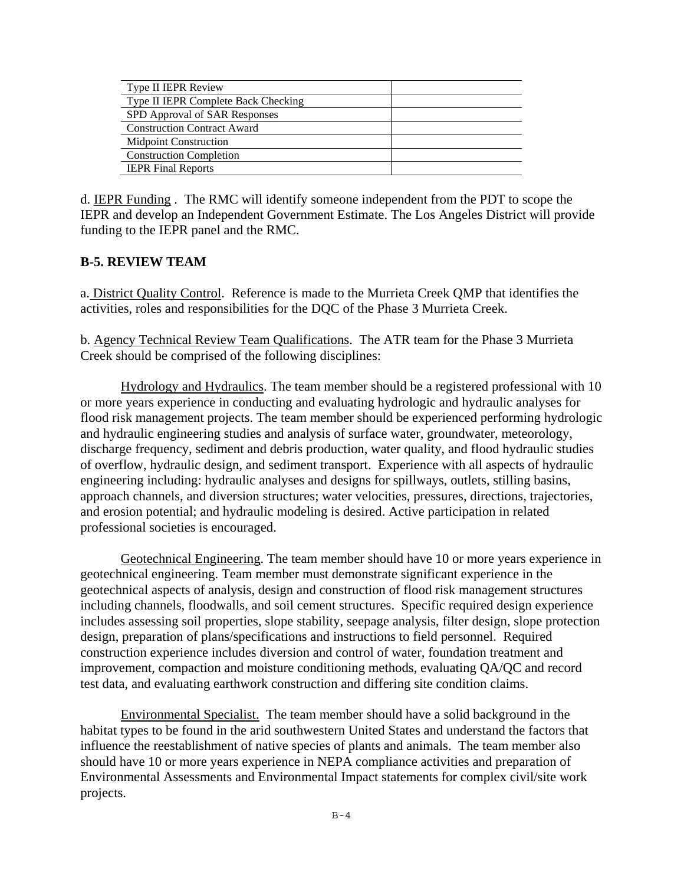| <b>Type II IEPR Review</b>          |  |
|-------------------------------------|--|
| Type II IEPR Complete Back Checking |  |
| SPD Approval of SAR Responses       |  |
| <b>Construction Contract Award</b>  |  |
| <b>Midpoint Construction</b>        |  |
| <b>Construction Completion</b>      |  |
| <b>IEPR Final Reports</b>           |  |
|                                     |  |

d. IEPR Funding . The RMC will identify someone independent from the PDT to scope the IEPR and develop an Independent Government Estimate. The Los Angeles District will provide funding to the IEPR panel and the RMC.

#### **B-5. REVIEW TEAM**

a. District Quality Control. Reference is made to the Murrieta Creek QMP that identifies the activities, roles and responsibilities for the DQC of the Phase 3 Murrieta Creek.

b. Agency Technical Review Team Qualifications. The ATR team for the Phase 3 Murrieta Creek should be comprised of the following disciplines:

Hydrology and Hydraulics. The team member should be a registered professional with 10 or more years experience in conducting and evaluating hydrologic and hydraulic analyses for flood risk management projects. The team member should be experienced performing hydrologic and hydraulic engineering studies and analysis of surface water, groundwater, meteorology, discharge frequency, sediment and debris production, water quality, and flood hydraulic studies of overflow, hydraulic design, and sediment transport. Experience with all aspects of hydraulic engineering including: hydraulic analyses and designs for spillways, outlets, stilling basins, approach channels, and diversion structures; water velocities, pressures, directions, trajectories, and erosion potential; and hydraulic modeling is desired. Active participation in related professional societies is encouraged.

Geotechnical Engineering. The team member should have 10 or more years experience in geotechnical engineering. Team member must demonstrate significant experience in the geotechnical aspects of analysis, design and construction of flood risk management structures including channels, floodwalls, and soil cement structures. Specific required design experience includes assessing soil properties, slope stability, seepage analysis, filter design, slope protection design, preparation of plans/specifications and instructions to field personnel. Required construction experience includes diversion and control of water, foundation treatment and improvement, compaction and moisture conditioning methods, evaluating QA/QC and record test data, and evaluating earthwork construction and differing site condition claims.

Environmental Specialist. The team member should have a solid background in the habitat types to be found in the arid southwestern United States and understand the factors that influence the reestablishment of native species of plants and animals. The team member also should have 10 or more years experience in NEPA compliance activities and preparation of Environmental Assessments and Environmental Impact statements for complex civil/site work projects.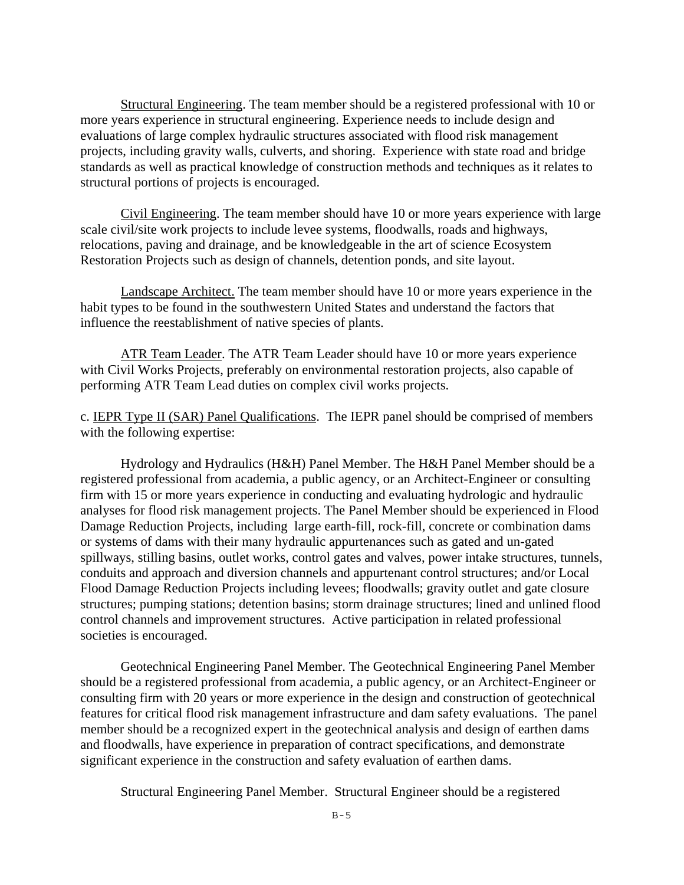Structural Engineering. The team member should be a registered professional with 10 or more years experience in structural engineering. Experience needs to include design and evaluations of large complex hydraulic structures associated with flood risk management projects, including gravity walls, culverts, and shoring. Experience with state road and bridge standards as well as practical knowledge of construction methods and techniques as it relates to structural portions of projects is encouraged.

Civil Engineering. The team member should have 10 or more years experience with large scale civil/site work projects to include levee systems, floodwalls, roads and highways, relocations, paving and drainage, and be knowledgeable in the art of science Ecosystem Restoration Projects such as design of channels, detention ponds, and site layout.

Landscape Architect. The team member should have 10 or more years experience in the habit types to be found in the southwestern United States and understand the factors that influence the reestablishment of native species of plants.

ATR Team Leader. The ATR Team Leader should have 10 or more years experience with Civil Works Projects, preferably on environmental restoration projects, also capable of performing ATR Team Lead duties on complex civil works projects.

c. IEPR Type II (SAR) Panel Qualifications. The IEPR panel should be comprised of members with the following expertise:

Hydrology and Hydraulics (H&H) Panel Member. The H&H Panel Member should be a registered professional from academia, a public agency, or an Architect-Engineer or consulting firm with 15 or more years experience in conducting and evaluating hydrologic and hydraulic analyses for flood risk management projects. The Panel Member should be experienced in Flood Damage Reduction Projects, including large earth-fill, rock-fill, concrete or combination dams or systems of dams with their many hydraulic appurtenances such as gated and un-gated spillways, stilling basins, outlet works, control gates and valves, power intake structures, tunnels, conduits and approach and diversion channels and appurtenant control structures; and/or Local Flood Damage Reduction Projects including levees; floodwalls; gravity outlet and gate closure structures; pumping stations; detention basins; storm drainage structures; lined and unlined flood control channels and improvement structures. Active participation in related professional societies is encouraged.

Geotechnical Engineering Panel Member. The Geotechnical Engineering Panel Member should be a registered professional from academia, a public agency, or an Architect-Engineer or consulting firm with 20 years or more experience in the design and construction of geotechnical features for critical flood risk management infrastructure and dam safety evaluations. The panel member should be a recognized expert in the geotechnical analysis and design of earthen dams and floodwalls, have experience in preparation of contract specifications, and demonstrate significant experience in the construction and safety evaluation of earthen dams.

Structural Engineering Panel Member. Structural Engineer should be a registered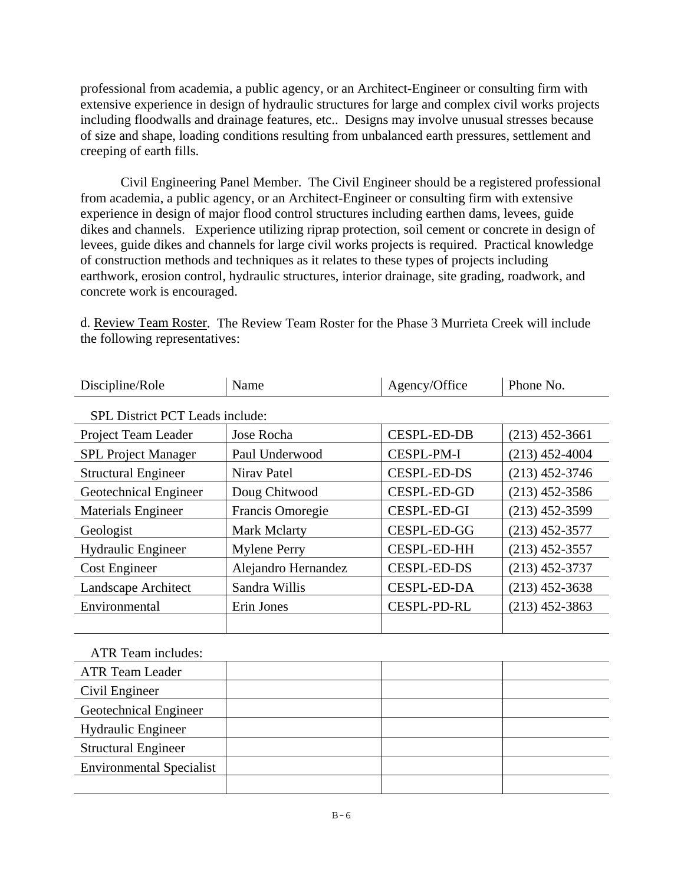professional from academia, a public agency, or an Architect-Engineer or consulting firm with extensive experience in design of hydraulic structures for large and complex civil works projects including floodwalls and drainage features, etc.. Designs may involve unusual stresses because of size and shape, loading conditions resulting from unbalanced earth pressures, settlement and creeping of earth fills.

Civil Engineering Panel Member. The Civil Engineer should be a registered professional from academia, a public agency, or an Architect-Engineer or consulting firm with extensive experience in design of major flood control structures including earthen dams, levees, guide dikes and channels. Experience utilizing riprap protection, soil cement or concrete in design of levees, guide dikes and channels for large civil works projects is required. Practical knowledge of construction methods and techniques as it relates to these types of projects including earthwork, erosion control, hydraulic structures, interior drainage, site grading, roadwork, and concrete work is encouraged.

d. Review Team Roster. The Review Team Roster for the Phase 3 Murrieta Creek will include the following representatives:

| Discipline/Role                        | Name                | Agency/Office      | Phone No.        |
|----------------------------------------|---------------------|--------------------|------------------|
| <b>SPL District PCT Leads include:</b> |                     |                    |                  |
| Project Team Leader                    | Jose Rocha          | <b>CESPL-ED-DB</b> | $(213)$ 452-3661 |
| <b>SPL Project Manager</b>             | Paul Underwood      | CESPL-PM-I         | $(213)$ 452-4004 |
| <b>Structural Engineer</b>             | Nirav Patel         | <b>CESPL-ED-DS</b> | $(213)$ 452-3746 |
| Geotechnical Engineer                  | Doug Chitwood       | <b>CESPL-ED-GD</b> | $(213)$ 452-3586 |
| <b>Materials Engineer</b>              | Francis Omoregie    | <b>CESPL-ED-GI</b> | $(213)$ 452-3599 |
| Geologist                              | Mark Mclarty        | CESPL-ED-GG        | $(213)$ 452-3577 |
| <b>Hydraulic Engineer</b>              | <b>Mylene Perry</b> | <b>CESPL-ED-HH</b> | $(213)$ 452-3557 |
| Cost Engineer                          | Alejandro Hernandez | <b>CESPL-ED-DS</b> | $(213)$ 452-3737 |
| Landscape Architect                    | Sandra Willis       | <b>CESPL-ED-DA</b> | $(213)$ 452-3638 |
| Environmental                          | Erin Jones          | <b>CESPL-PD-RL</b> | $(213)$ 452-3863 |
|                                        |                     |                    |                  |

| <b>ATR Team includes:</b>       |  |  |
|---------------------------------|--|--|
| <b>ATR Team Leader</b>          |  |  |
| Civil Engineer                  |  |  |
| Geotechnical Engineer           |  |  |
| <b>Hydraulic Engineer</b>       |  |  |
| <b>Structural Engineer</b>      |  |  |
| <b>Environmental Specialist</b> |  |  |
|                                 |  |  |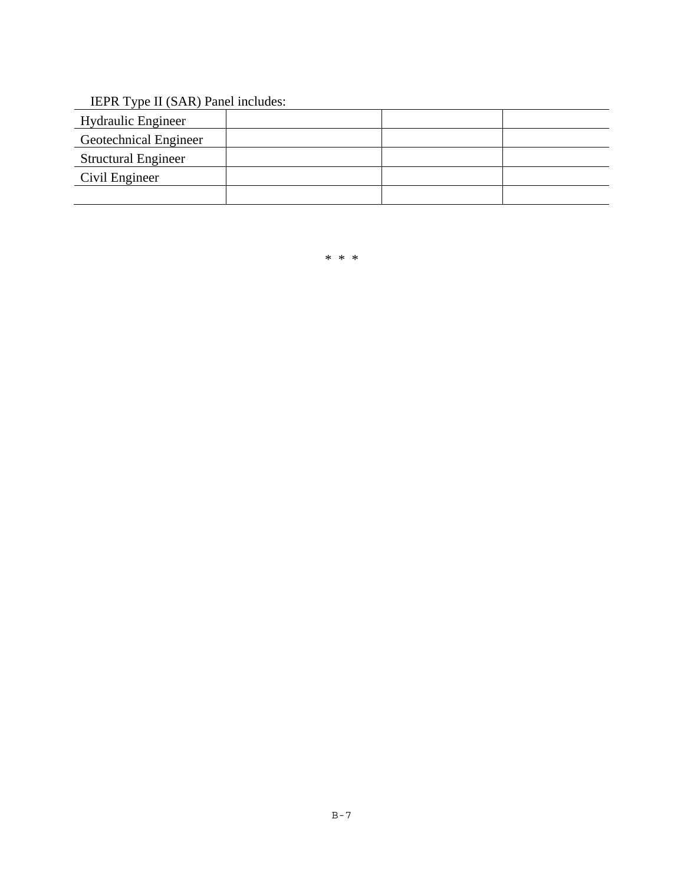IEPR Type II (SAR) Panel includes:

| <b>Hydraulic Engineer</b>  |  |  |
|----------------------------|--|--|
| Geotechnical Engineer      |  |  |
| <b>Structural Engineer</b> |  |  |
| Civil Engineer             |  |  |
|                            |  |  |

\* \* \*